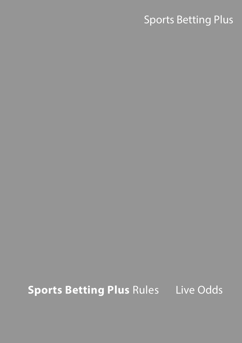# Sports Betting Plus

# **Sports Betting Plus Rules** Live Odds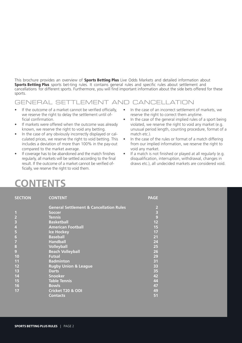This brochure provides an overview of **Sports Betting Plus** Live Odds Markets and detailed information about Sports Betting Plus sports bet-ting rules. It contains general rules and specific rules about settlement and cancellations for different sports. Furthermore, you will find important information about the side bets offered for these sports.

## GENERAL SETTLEMENT AND CANCELLATION

- If the outcome of a market cannot be verified officially, we reserve the right to delay the settlement until official confirmation.
- If markets were offered when the outcome was already known, we reserve the right to void any betting.
- In the case of any obviously incorrectly displayed or calculated prices, we reserve the right to void betting. This includes a deviation of more than 100% in the pay-out compared to the market average.
- If coverage has to be abandoned and the match finishes regularly, all markets will be settled according to the final result. If the outcome of a market cannot be verified officially, we reserve the right to void them.
- In the case of an incorrect settlement of markets, we reserve the right to correct them anytime.
- In the case of the general implied rules of a sport being violated, we reserve the right to void any market (e.g. unusual period length, counting procedure, format of a match etc.).
- In the case of the rules or format of a match differing from our implied information, we reserve the right to void any market.
- If a match is not finished or played at all regularly (e.g. disqualification, interruption, withdrawal, changes in draws etc.), all undecided markets are considered void.

## **CONTENTS**

| <b>SECTION</b>          | <b>CONTENT</b>                                     | <b>PAGE</b>                           |
|-------------------------|----------------------------------------------------|---------------------------------------|
|                         | <b>General Settlement &amp; Cancellation Rules</b> | $\overline{\mathbf{c}}$               |
| $\mathbf{1}$            | <b>Soccer</b>                                      | $\begin{array}{c} 3 \\ 9 \end{array}$ |
| $\overline{\mathbf{c}}$ | <b>Tennis</b>                                      |                                       |
| 3                       | <b>Basketball</b>                                  | 12                                    |
| 4                       | <b>American Football</b>                           | 15                                    |
| 5                       | <b>Ice Hockey</b>                                  | 17                                    |
| $\boldsymbol{6}$        | <b>Baseball</b>                                    | 21                                    |
| $\overline{7}$          | <b>Handball</b>                                    | 24                                    |
| 8                       | <b>Volleyball</b>                                  | 25                                    |
| $\overline{9}$          | <b>Beach Volleyball</b>                            | 26                                    |
| 10                      | <b>Futsal</b>                                      | 29                                    |
| 11                      | <b>Badminton</b>                                   | 31                                    |
| 12                      | <b>Rugby Union &amp; League</b>                    | 33                                    |
| 13                      | <b>Darts</b>                                       | 35                                    |
| 14                      | <b>Snooker</b>                                     | 42                                    |
| 15                      | <b>Table Tennis</b>                                | 44                                    |
| 16                      | <b>Bowls</b>                                       | 47                                    |
| 17                      | <b>Cricket T20 &amp; ODI</b>                       | 49                                    |
|                         | <b>Contacts</b>                                    | 51                                    |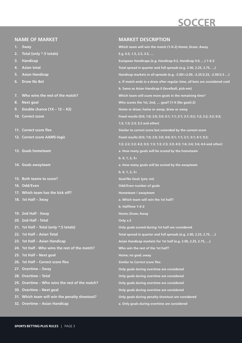# **SOCCER**

### **NAME OF MARKET**

- **1. 3way**
- **2. Total (only \*.5 totals)**
- **3. Handicap**
- **4. Asian total**
- **5. Asian Handicap**
- **6. Draw No Bet**
- **7. Who wins the rest of the match?**
- **8. Next goal**
- **9. Double chance (1X 12 X2)**
- **10. Correct score**
- **11. Correct score flex**
- **12. Correct score AAMS-logic**
- **13. Goals hometeam**
- **14. Goals awayteam**
- **15. Both teams to score?**
- **16. Odd/Even**
- **17. Which team has the kick off?**
- **18. 1st Half 3way**
- **19. 2nd Half 3way**
- **20. 2nd Half Total**
- **21. 1st Half Total (only \*.5 totals)**
- **22. 1st Half Asian Total**
- **23. 1st Half Asian Handicap**
- **24. 1st Half Who wins the rest of the match?**
- **25. 1st Half Next goal**
- **26. 1st Half Correct score flex**
- **27. Overtime 3way**
- **28. Overtime Total**
- **29. Overtime Who wins the rest of the match?**
- **30. Overtime Next goal**
- **31. Which team will win the penalty shootout?**
- **32. Overtime Asian Handicap**

#### **MARKET DESCRIPTION**

**Which team will win the match (1-X-2) Home; Draw; Away E.g. 0.5, 1.5, 2.5, 3.5, … European Handicaps (e.g. Handicap 0:2, Handicap 5:0, …) 1-X-2 Total spread in quarter and full spreads (e.g. 2.00, 2.25, 2.75, …) Handicap markets in all spreads (e.g. -2.00/+2.00, -2.25/2.25, -2.50/2.5 …) a. If match ends in a draw after regular time, all bets are considered void b. Same as Asian Handicap 0 (levelball, pick-em) Which team will score more goals in the remaining time? Who scores the 1st, 2nd, … goal? (1-X (No goal)-2) Home or draw; home or away; draw or away Fixed results (0:0; 1:0; 2:0; 3:0; 0:1; 1:1; 2:1; 3:1; 0:2; 1:2; 2:2; 3:2; 0:3; 1:3; 1:3; 2:3; 3:3 and other) Similar to correct score but extended by the current score Fixed results (0:0; 1:0; 2:0; 3:0; 4:0; 0:1; 1:1; 2:1; 3:1; 4:1; 0:2; 1:2; 2:2; 3:2; 4:2; 0:3; 1:3; 1:3; 2:3; 3:3; 4:3; 1:4; 2:4; 3:4; 4:4 and other) a. How many goals will be scored by the hometeam b. 0, 1, 2, 3+ a. How many goals will be scored by the awayteam b. 0, 1, 2, 3+ Goal/No Goal; (yes; no) Odd/Even number of goals Hometeam / awayteam a. Which team will win the 1st half? b. Halftime 1-X-2 Home; Draw; Away Only x.5 Only goals scored during 1st half are considered Total spread in quarter and full spreads (e.g. 2.00, 2.25, 2.75, …) Asian Handicap markets for 1st half (e.g. 2.00, 2.25, 2.75, …) Who win the rest of the 1st half? Home; no goal; away Similar to Correct score flex Only goals during overtime are considered Only goals during overtime are considered Only goals during overtime are considered Only goals during overtime are considered Only goals during penalty shootout are considered a. Only goals during overtime are considered**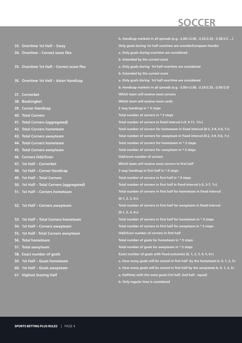## **SOCCER**

**33. Overtime 1st Half – 3way 34. Overtime – Correct score flex 35. Overtime 1st Half – Correct score flex 36. Overtime 1st Half – Asian Handicap 37. Cornerbet 38. Bookingbet 39. Corner Handicap 40. Total Corners 41. Total Corners (aggregated) 42. Total Corners hometeam 43. Total Corners awayteam 44. Total Corners hometeam 45. Total Corners awayteam 46. Corners Odd/Even 47. 1st Half – Cornerbet 48. 1st Half – Corner Handicap 49. 1st Half – Total Corners 50. 1st Half – Total Corners (aggregated) 51. 1st Half – Corners hometeam 52. 1st Half – Corners awayteam 53. 1st Half – Total Corners hometeam 54. 1st Half – Corners awayteam 55. 1st Half - Total Corners awayteam 56. Total hometeam 57. Total awayteam 58. Exact number of goals 59. 1st Half – Goals hometeam 60. 1st Half – Goals awayteam 61. Highest Scoring Half b. Handicap markets in all spreads (e.g. -2.00/+2.00, -2.25/2.25, -2.50/2.5 …) Only goals during 1st half overtime are considerEuropean Handia a. Only goals during overtime are considered b. Extended by the current score a. Only goals during 1st half overtime are considered b. Extended by the current score a. Only goals during 1st half overtime are considered b. Handicap markets in all spreads (e.g. -2.00/+2.00, -2.25/2.25, -2.50/2.5) Which team will receive most corners Which team will receive more cards 2 way handicap in \*.5 steps Total number of corners in \*.5 steps Total number of corners in fixed interval (<9, 9-11, 12+) Total number of corners for hometeam in fixed interval (0-2, 3-4, 5-6, 7+) Total number of corners for awayteam in fixed interval (0-2, 3-4, 5-6, 7+) Total number of corners for hometeam in \*.5 steps Total number of corners for awayteam in \*.5 steps Odd/even number of corners Which team will receive most corners in first half 2 way handicap in first half in \*.5 steps Total number of corners in first half in \*.5 steps Total number of corners in first half in fixed interval (<5, 5-7, 7+) Total number of corners in first half for hometeam in fixed interval (0-1, 2, 3, 4+) Total number of corners in first half for awayteam in fixed interval (0-1, 2, 3, 4+) Total number of corners in first half for hometeam in \*.5 steps Total number of corners in first half for awayteam in \*.5 steps Odd/Even number of corners in first half Total number of goals for hometeam in \*.5 steps Total number of goals for awayteam in \*.5 steps Exact number of goals with fixed outcomes (0, 1, 2, 3, 4, 5, 6+) a. How many goals will be scored in first half by the hometeam b. 0, 1, 2, 3+ a. How many goals will be scored in first half by the awayteam b. 0, 1, 2, 3+ a. Halftime with the most goals (1st half, 2nd half , equal) b. Only regular time is considered**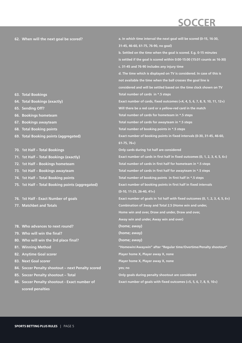# **SOCCER**

#### **62. When will the next goal be scored?**

- **63. Total Bookings**
- **64. Total Bookings (exactly)**
- **65. Sending Off?**
- **66. Bookings hometeam**
- **67. Bookings awayteam**
- **68. Total Booking points**
- **69. Total Booking points (aggregated)**
- **70. 1st Half Total Bookings**
- **71. 1st Half Total Bookings (exactly)**
- **72. 1st Half Bookings hometeam**
- **73. 1st Half Bookings awayteam**
- **74. 1st Half Total Booking points**
- **75. 1st Half Total Booking points (aggregated)**
- **76. 1st Half Exact Number of goals**
- **77. Matchbet and Totals**
- **78. Who advances to next round?**
- **79. Who will win the final?**
- **80. Who will win the 3rd place final?**
- **81. Winning Method**
- **82. Anytime Goal scorer**
- **83. Next Goal scorer**
- **84. Soccer Penalty shootout next Penalty scored**
- **85. Soccer Penalty shootout Total**
- **86. Soccer Penalty shootout Exact number of scored penalties**

**a. In which time interval the next goal will be scored (0-15, 16-30, 31-45, 46-60, 61-75, 76-90, no goal) b. Settled on the time when the goal is scored. E.g. 0-15 minutes is settled if the goal is scored within 0:00-15:00 (15:01 counts as 16-30) c. 31-45 and 76-90 includes any injury time d. The time which is displayed on TV is considered. In case of this is not available the time when the ball crosses the goal line is considered and will be settled based on the time clock shown on TV Total number of cards in \*.5 steps Exact number of cards, fixed outcomes (<4, 4, 5, 6, 7, 8, 9, 10, 11, 12+) Will there be a red card or a yellow-red card in the match Total number of cards for hometeam in \*.5 steps Total number of cards for awayteam in \*.5 steps Total number of booking points in \*.5 steps Exact number of booking points in fixed intervals (0-30, 31-45, 46-60, 61-75, 76+) Only cards during 1st half are considered Exact number of cards in first half in fixed outcomes (0, 1, 2, 3, 4, 5, 6+) Total number of cards in first half for hometeam in \*.5 steps Total number of cards in first half for awayteam in \*.5 steps Total number of booking points in first half in \*.5 steps Exact number of booking points in first half in fixed intervals (0-10, 11-25, 26-40, 41+) Exact number of goals in 1st half with fixed outcomes (0, 1, 2, 3, 4, 5, 6+) Combination of 3way and Total 2.5 (Home win and under, Home win and over, Draw and under, Draw and over, Away win and under, Away win and over) (home; away) (home; away) (home; away) "Homewin/Awaywin" after "Regular time/Overtime/Penalty shootout" Player home X, Player away X, none Player home X, Player away X, none yes; no Only goals during penalty shootout are considered Exact number of goals with fixed outcomes (<5, 5, 6, 7, 8, 9, 10+)**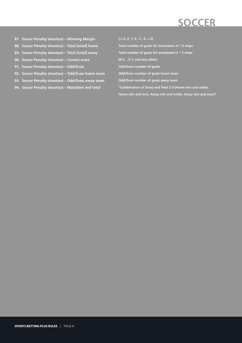- **87. Soccer Penalty shootout Winning Margin**
- **88. Soccer Penalty shootout Total [total] home**
- **89. Soccer Penalty shootout Total [total] away**
- **90. Soccer Penalty shootout Correct score**
- **91. Soccer Penalty shootout Odd/Even**
- **92. Soccer Penalty shootout Odd/Even home team**
- **93. Soccer Penalty shootout Odd/Even away team**
- **94. Soccer Penalty shootout Matchbet and total**

**(**≥**+3, 2, 1, 0, -1, -2,** ≤**-3)**

**Total number of goals for hometeam in \*.5 steps**

**Total number of goals for awayteam in \*.5 steps**

**(0:4….5:1; and any other)**

**Odd/Even number of goals**

**Odd/Even number of goals home team**

**Odd/Even number of goals away team**

**"Combination of 2way and Total 2.5 (Home win and under,**

**Home win and over, Away win and under, Away win and over)"**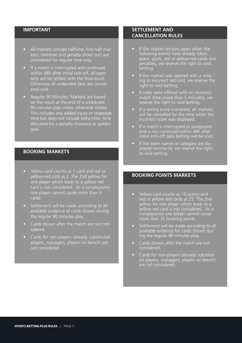- All markets (except halftime, first half markets, overtime and penalty shoot out) are considered for regular time only.
- If a match is interrupted and continued within 48h after initial kick-off, all open bets will be settled with the final result. Otherwise all undecided bets are considered void.
- Regular 90 Minutes: Markets are based on the result at the end of a scheduled 90 minutes play unless otherwise stated. This includes any added injury or stoppage time but does not include extra-time, time allocated for a penalty shootout or golden goal.

#### **BOOKING MARKETS**

- Yellow card counts as 1 card and red or yellow-red card as 2. The 2nd yellow for one player which leads to a yellow red card is not considered. As a consequence one player cannot cause more than 3 cards.
- Settlement will be made according to all available evidence of cards shown during the regular 90 minutes play.
- Cards shown after the match are not considered.
- Cards for non-players (already substitutedplayers, managers, players on bench) are not considered.

#### **SETTLEMENT AND CANCELLATION RULES**

- If the market remains open when the following events have already taken place: goals, red or yellow-red cards and penalties, we reserve the right to void betting.
- If the market was opened with a missing or incorrect red card, we reserve the right to void betting.
- If odds were offered with an incorrect match time (more than 5 minutes), we reserve the right to void betting.
- If a wrong score is entered, all markets will be cancelled for the time when the incorrect score was displayed.
- If a match is interrupted or postponed and is not continued within 48h after initial kick-off date betting will be void.
- If the team names or category are displayed incorrectly, we reserve the right to void betting.

### **BOOKING POINTS MARKETS**

- Yellow card counts as 10 points and red or yellow red cards as 25. The 2nd yellow for one player which leads to a yellow red card is not considered. As a consequence one player cannot cause more than 35 booking points.
- Settlement will be made according to all available evidence for cards shown during the regular 90 minutes play.
- Cards shown after the match are not considered.
- Cards for non-players (already substituted players, managers, players on bench) are not considered.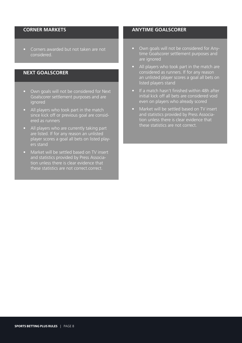#### **CORNER MARKETS**

• Corners awarded but not taken are not considered.

#### **NEXT GOALSCORER**

- Own goals will not be considered for Next Goalscorer settlement purposes and are ignored
- All players who took part in the match since kick off or previous goal are considered as runners
- All players who are currently taking part are listed. If for any reason an unlisted player scores a goal all bets on listed players stand
- Market will be settled based on TV insert and statistics provided by Press Association unless there is clear evidence that these statistics are not correct.correct.

### **ANYTIME GOALSCORER**

- Own goals will not be considered for Anytime Goalscorer settlement purposes and are ignored
- All players who took part in the match are considered as runners. If for any reason an unlisted player scores a goal all bets on listed players stand
- If a match hasn't finished within 48h after initial kick off all bets are considered void even on players who already scored
- Market will be settled based on TV insert and statistics provided by Press Association unless there is clear evidence that these statistics are not correct.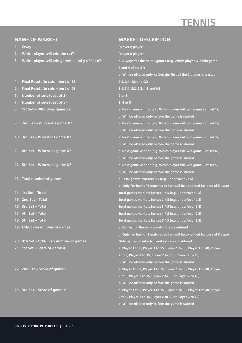## **TENNIS**

#### **NAME OF MARKET**

**1. 2way**

- **2. Which player will win the set?**
- **3. Which player will win games x and y of set n?**
- **4. Final Result (in sets best of 3)**
- **5. Final Result (in sets best of 5)**
- **6. Number of sets (best of 3)**
- **7. Number of sets (best of 5)**
- **8. 1st Set Who wins game X?**
- **9. 2nd Set Who wins game X?**
- **10. 3rd Set Who wins game X?**
- **11. 4th Set Who wins game X?**
- **12. 5th Set Who wins game X?**
- **13. Total number of games**
- **14. 1st Set Total**
- **15. 2nd Set Total**
- **16. 3rd Set Total**
- **17. 4th Set Total**
- **18. 5th Set Total**
- **19. Odd/Even number of games**

**20. Xth Set - Odd/Even number of games**

- **21. 1st Set Score of game X**
- **22. 2nd Set Score of game X**

**23. 3rd Set – Score of game X**

#### **MARKET DESCRIPTION**

| (player1; player)                                                          |
|----------------------------------------------------------------------------|
| (player1; player)                                                          |
| a. Always for the next 2 games (e.g. Which player will win game            |
| 3 and 4 of set 2?)                                                         |
| b. Will be offered only before the first of the 2 games is started         |
| 2:0, 2:1, 1:2 and 0:2                                                      |
| 3:0, 3:1, 3:2, 2:3, 1:3 and 0:3                                            |
| 2 or 3                                                                     |
| 3, 4 or 5                                                                  |
| a. Next game winner (e.g. Which player will win game 3 of set 1?)          |
| b. Will be offered only before the game is started                         |
| a. Next game winner (e.g. Which player will win game 3 of set 2?)          |
| b. Will be offered only before the game is started                         |
| a. Next game winner (e.g. Which player will win game 3 of set 3?)          |
| b. Will be offered only before the game is started                         |
| a. Next game winner (e.g. Which player will win game 3 of set 4?)          |
| b. Will be offered only before the game is started                         |
| a. Next game winner (e.g. Which player will win game 3 of set 5?           |
| b. Will be offered only before the game is started                         |
| a. Total games markets *.5 (e.g. under/over 22.5)                          |
| b. Only for best of 3 matches so far (will be extended for best of 5 asap) |
| Total games markets for set 1 *.5 (e.g. under/over 9.5)                    |
| Total games markets for set 2 *.5 (e.g. under/over 9.5)                    |
| Total games markets for set 3 *.5 (e.g. under/over 9.5)                    |
| Total games markets for set 4 *.5 (e.g. under/over 9.5)                    |
| Total games markets for set 5 *.5 (e.g. under/over 9.5)                    |
| a. Games for the whole match are considered                                |
| b. Only for best of 3 matches so far (will be extended for best of 5 asap) |
| Only games of set n (current set) are considered                           |
| a. Player 1 to 0, Player 1 to 15, Player 1 to 30, Player 1 to 40, Player   |
| 2 to 0, Player 2 to 15, Player 2 to 30 or Player 2 to 40)                  |
| b. Will be offered only before the game is started                         |
| a. Player 1 to 0, Player 1 to 15, Player 1 to 30, Player 1 to 40, Player   |
| 2 to 0, Player 2 to 15, Player 2 to 30 or Player 2 to 40)                  |
| b. Will be offered only before the game is started                         |
| a. Player 1 to 0, Player 1 to 15, Player 1 to 30, Player 1 to 40, Player   |
| 2 to 0, Player 2 to 15, Player 2 to 30 or Player 2 to 40)                  |
| b. Will be offered only before the game is started                         |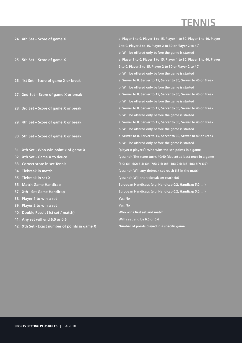## **TENNIS**

|     | 24. 4th Set – Score of game $X$                | a. Player 1 to 0, Player 1 to 15, Player 1 to 30, Player 1 to 40, Player |
|-----|------------------------------------------------|--------------------------------------------------------------------------|
|     |                                                | 2 to 0, Player 2 to 15, Player 2 to 30 or Player 2 to 40)                |
|     |                                                | b. Will be offered only before the game is started                       |
|     | 25. 5th Set - Score of game X                  | a. Player 1 to 0, Player 1 to 15, Player 1 to 30, Player 1 to 40, Player |
|     |                                                | 2 to 0, Player 2 to 15, Player 2 to 30 or Player 2 to 40)                |
|     |                                                | b. Will be offered only before the game is started                       |
|     | 26. 1st Set - Score of game X or break         | a. Server to 0, Server to 15, Server to 30, Server to 40 or Break        |
|     |                                                | b. Will be offered only before the game is started                       |
|     | 27. 2nd Set - Score of game X or break         | a. Server to 0, Server to 15, Server to 30, Server to 40 or Break        |
|     |                                                | b. Will be offered only before the game is started                       |
|     | 28. 3rd Set - Score of game X or break         | a. Server to 0, Server to 15, Server to 30, Server to 40 or Break        |
|     |                                                | b. Will be offered only before the game is started                       |
|     | 29. 4th Set - Score of game X or break         | a. Server to 0, Server to 15, Server to 30, Server to 40 or Break        |
|     |                                                | b. Will be offered only before the game is started                       |
|     | 30. 5th Set - Score of game X or break         | a. Server to 0, Server to 15, Server to 30, Server to 40 or Break        |
|     |                                                | b. Will be offered only before the game is started                       |
|     | 31. Xth Set - Who win point x of game X        | (player1; player2); Who wins the xth points in a game                    |
|     | 32. Xth Set - Game X to deuce                  | (yes; no); The score turns 40:40 (deuce) at least once in a game         |
| 33. | <b>Correct score in set Tennis</b>             | (6:0; 6:1; 6:2; 6:3; 6:4; 7:5; 7:6; 0:6; 1:6; 2:6; 3:6; 4:6; 5:7; 6:7)   |
|     | 34. Tiebreak in match                          | (yes; no); Will any tiebreak set reach 6:6 in the match                  |
|     | 35. Tiebreak in set X                          | (yes; no); Will the tiebreak set reach 6:6                               |
|     | 36. Match Game Handicap                        | European Handicaps (e.g. Handicap 0:2, Handicap 5:0, )                   |
|     | 37. Xth - Set Game Handicap                    | European Handicaps (e.g. Handicap 0:2, Handicap 5:0, )                   |
|     | 38. Player 1 to win a set                      | Yes; No                                                                  |
|     | 39. Player 2 to win a set                      | Yes; No                                                                  |
| 40. | Double Result (1st set / match)                | Who wins first set and match                                             |
|     | 41. Any set will end 6:0 or 0:6                | Will a set end by 6:0 or 0:6                                             |
|     | 42. Xth Set - Exact number of points in game X | Number of points played in a specific game                               |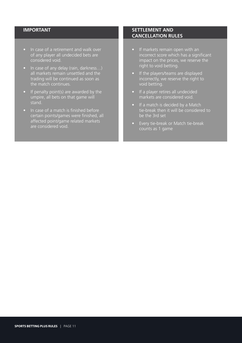- In case of a retirement and walk over of any player all undecided bets are considered void.
- In case of any delay (rain, darkness…) all markets remain unsettled and the trading will be continued as soon as the match continues.
- If penalty point(s) are awarded by the umpire, all bets on that game will stand.
- In case of a match is finished before certain points/games were finished, all affected point/game related markets are considered void.

- If markets remain open with an incorrect score which has a significant impact on the prices, we reserve the right to void betting.
- If the players/teams are displayed incorrectly, we reserve the right to void betting.
- If a player retires all undecided markets are considered void.
- If a match is decided by a Match tie-break then it will be considered to be the 3rd set
- Every tie-break or Match tie-break counts as 1 game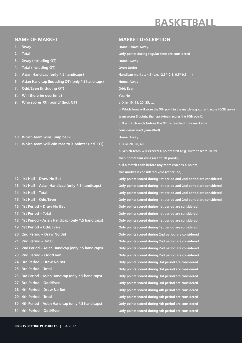## **BASKETBALL**

#### **NAME OF MARKET**

- **1. 3way**
- **2. Total**
- **3. 2way (Including OT)**
- **4. Total (Including OT)**
- **5. Asian Handicap (only \*.5 handicaps)**
- **6. Asian Handicap (Including OT) (only \*.5 handicaps)**
- **7. Odd/Even (Including OT)**
- **8. Will there be overtime?**
- **9. Who scores Xth point? (Incl. OT)**
- **10. Which team wins jump ball?**
- **11. Which team will win race to X points? (Incl. OT)**
- **12. 1st Half Draw No Bet**
- **13. 1st Half Asian Handicap (only \*.5 handicaps)**
- **14. 1st Half Total**
- **15. 1st Half Odd/Even**
- **16. 1st Period Draw No Bet**
- **17. 1st Period Total**
- **18. 1st Period Asian Handicap (only \*.5 handicaps)**
- **19. 1st Period Odd/Even**
- **20. 2nd Period Draw No Bet**
- **21. 2nd Period Total**
- **22. 2nd Period Asian Handicap (only \*.5 handicaps)**
- **23. 2nd Period Odd/Even**
- **24. 3rd Period Draw No Bet**
- **25. 3rd Period Total**
- **26. 3rd Period Asian Handicap (only \*.5 handicaps)**
- **27. 3rd Period Odd/Even**
- **28. 4th Period Draw No Bet**
- **29. 4th Period Total**
- **30. 4th Period Asian Handicap (only \*.5 handicaps)**
- **31. 4th Period Odd/Even**

#### **MARKET DESCRIPTION**

**Home; Draw; Away Only points during regular time are considered Home; Away Over; Under Handicap markets \*.5 (e.g. -2.5/+2.5, 0.5/-0.5, …) Home; Away Odd; Even Yes; No a. X in 10, 15, 20, 25, … b. Which team will score the Xth point in the match (e.g. current score 40-28, away team scores 3 points, then awayteam scores the 70th point). c. If a match ends before the Xth is reached, this market is considered void (cancelled). Home; Away a. X in 20, 30, 40, … b. Which team will exceed X points first (e.g. current score 20-19, then hometeam wins race to 20 points). c. If a match ends before any team reaches X points, this market is considered void (cancelled) Only points scored during 1st period and 2nd period are considered Only points scored during 1st period and 2nd period are considered Only points scored during 1st period and 2nd period are considered Only points scored during 1st period and 2nd period are considered Only points scored during 1st period are considered Only points scored during 1st period are considered Only points scored during 1st period are considered Only points scored during 1st period are considered Only points scored during 2nd period are considered Only points scored during 2nd period are considered Only points scored during 2nd period are considered Only points scored during 2nd period are considered Only points scored during 3rd period are considered Only points scored during 3rd period are considered Only points scored during 3rd period are considered Only points scored during 3rd period are considered Only points scored during 4th period are considered Only points scored during 4th period are considered Only points scored during 4th period are considered Only points scored during 4th period are considered**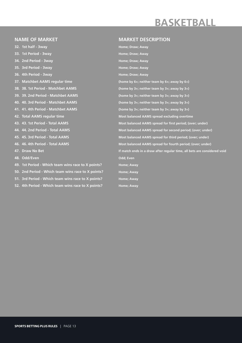## **BASKETBALL**

#### **NAME OF MARKET**

**32. 1st half - 3way 33. 1st Period - 3way 34. 2nd Period - 3way 35. 3rd Period - 3way 36. 4th Period - 3way 37. Matchbet AAMS regular time 38. 38. 1st Period - Matchbet AAMS 39. 39. 2nd Period - Matchbet AAMS 40. 40. 3rd Period - Matchbet AAMS 41. 41. 4th Period - Matchbet AAMS 42. Total AAMS regular time 43. 43. 1st Period - Total AAMS 44. 44. 2nd Period - Total AAMS 45. 45. 3rd Period - Total AAMS 46. 46. 4th Period - Total AAMS 47. Draw No Bet 48. Odd/Even 49. 1st Period - Which team wins race to X points? 50. 2nd Period - Which team wins race to X points? 51. 3rd Period - Which team wins race to X points? 52. 4th Period - Which team wins race to X points?**

#### **MARKET DESCRIPTION**

**Home; Draw; Away Home; Draw; Away Home; Draw; Away Home; Draw; Away Home; Draw; Away (home by 6+; neither team by 6+; away by 6+) (home by 3+; neither team by 3+; away by 3+) (home by 3+; neither team by 3+; away by 3+) (home by 3+; neither team by 3+; away by 3+) (home by 3+; neither team by 3+; away by 3+) Most balanced AAMS spread excluding overtime Most balanced AAMS spread for first period; (over; under) Most balanced AAMS spread for second period; (over; under) Most balanced AAMS spread for third period; (over; under) Most balanced AAMS spread for fourth period; (over; under) If match ends in a draw after regular time, all bets are considered void Odd; Even Home; Away Home; Away Home; Away Home; Away**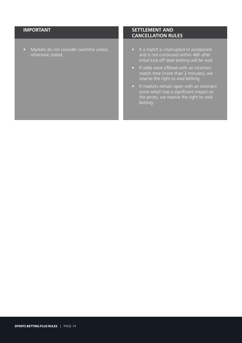• Markets do not consider overtime unless otherwise stated.

- If a match is interrupted or postponed and is not continued within 48h after initial kick-off date betting will be void.
- If odds were offered with an incorrect match time (more than 2 minutes), we reserve the right to void betting.
- If markets remain open with an incorrect score which has a significant impact on the prices, we reserve the right to void betting.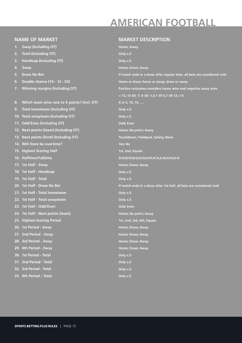## **AMERICAN FOOTBALL**

#### **NAME OF MARKET**

- **1. 2way (Including OT)**
- **2. Total (Including OT)**
- **3. Handicap (Including OT)**
- **4. 3way**
- **5. Draw No Bet**
- **6. Double chance (1X 12 X2)**
- **7. Winning margins (Including OT)**

#### **8. Which team wins race to X points? (Incl. OT)**

- **9. Total hometeam (Including OT)**
- **10. Total awayteam (Including OT)**
- **11. Odd/Even (Including OT)**
- **12. Next points (team) (Including OT)**
- **13. Next points (kind) (Including OT)**
- **14. Will there be overtime?**
- **15. Highest Scoring Half**
- **16. Halftime/Fulltime**
- **17. 1st Half 3way**
- **18. 1st Half Handicap**
- **19. 1st Half Total**
- **20. 1st Half Draw No Bet**
- **21. 1st Half Total hometeam**
- **22. 1st Half Total awayteam**
- **23. 1st Half Odd/Even**
- **24. 1st Half Next points (team)**
- **25. Highest Scoring Period**
- **26. 1st Period 3way**
- **27. 2nd Period 3way**
- **28. 3rd Period 3way**
- **29. 4th Period 3way**
- **30. 1st Period Total**
- **31. 2nd Period Total**
- **32. 3rd Period Total**
- **33. 4th Period Total**

#### **MARKET DESCRIPTION**

**Home; Away Only x.5 Only x.5 Home; Draw; Away If match ends in a draw after regular time, all bets are considered void Home or draw; home or away; draw or away Positive outcomes considers home wins and negative away wins <-13,-13 till -7,-6 till -1,0,1 till 6,7 till 13,>13 X in 5, 10, 15, …. Only x.5 Only x.5 Odd; Even Home; No point; Away Touchdown, Fieldgoal, Safety, None Yes; No 1st, 2nd, Equals D/D;D/H;D/A;H/D;H/H;H/A;A/D;A/H;A/A Home; Draw; Away Only x.5 Only x.5 If match ends in a draw after 1st half, all bets are considered void Only x.5 Only x.5 Odd; Even Home; No point; Away 1st, 2nd, 3rd, 4th, Equals Home; Draw; Away Home; Draw; Away Home; Draw; Away Home; Draw; Away Only x.5 Only x.5 Only x.5 Only x.5**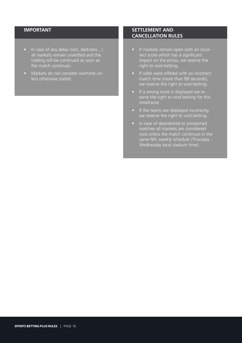- In case of any delay (rain, darkness...) all markets remain unsettled and the trading will be continued as soon as the match continues.
- Markets do not consider overtime unless otherwise stated.

- If markets remain open with an incorrect score which has a significant impact on the prices, we reserve the right to void betting.
- If odds were offered with an incorrect match time (more than 89 seconds), we reserve the right to void betting.
- If a wrong score is displayed we reserve the right to void betting for this timeframe.
- If the teams are displayed incorrectly, we reserve the right to void betting.
- In case of abandoned or postponed matches all markets are considered void unless the match continues in the same NFL weekly schedule (Thursday - Wednesday local stadium time).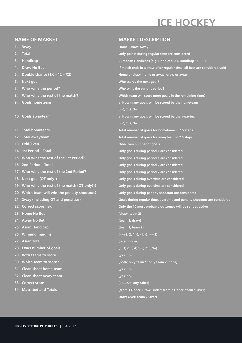## **ICE HOCKEY**

#### **NAME OF MARKET**

- **1. 3way**
- **2. Total**
- **3. Handicap**
- **4. Draw No Bet**
- **5. Double chance (1X 12 X2)**
- **6. Next goal**
- **7. Who wins the period?**
- **8. Who wins the rest of the match?**
- **9. Goals hometeam**
- **10. Goals awayteam**
- **11. Total hometeam**
- **12. Total awayteam**
- **13. Odd/Even**
- **14. 1st Period Total**
- **15. Who wins the rest of the 1st Period?**
- **16. 2nd Period Total**
- **17. Who wins the rest of the 2nd Period?**
- **18. Next goal (OT only!)**
- **19. Who wins the rest of the match (OT only!)?**
- **20. Which team will win the penalty shootout?**
- **21. 2way (Including OT and penalties)**
- **22. Correct score flex**
- **23. Home No Bet**
- **24. Away No Bet**
- **25. Asian Handicap**
- **26. Winning margins**
- **27. Asian total**
- **28. Exact number of goals**
- **29. Both teams to score**
- **30. Which team to score?**
- **31. Clean sheet home team**
- **32. Clean sheet away team**
- **33. Correct score**
- **34. Matchbet and Totals**

#### **MARKET DESCRIPTION**

**Home; Draw; Away Only points during regular time are considered European Handicaps (e.g. Handicap 0:1, Handicap 1:0, …) If match ends in a draw after regular time, all bets are considered void Home or draw; home or away; draw or away Who scores the next goal? Who wins the current period? Which team will score more goals in the remaining time? a. How many goals will be scored by the hometeam b. 0, 1, 2, 3+ a. How many goals will be scored by the awayteam b. 0, 1, 2, 3+ Total number of goals for hometeam in \*.5 steps Total number of goals for awayteam in \*.5 steps Odd/Even number of goals Only goals during period 1 are considered Only goals during period 1 are considered Only goals during period 2 are considered Only goals during period 2 are considered Only goals during overtime are considered Only goals during overtime are considered Only goals during penalty shootout are considered Goals during regular time, overtime and penalty shootout are considered Only the 10 most probable outcomes will be sent as active (draw; team 2) (team 1; draw) (team 1; team 2) (>=+3, 2, 1, 0, -1, -2, <=-3) (over; under) (0; 1; 2; 3; 4; 5; 6; 7; 8; 9+) (yes; no) (both; only team 1; only team 2; none) (yes; no) (yes; no) (0:0...5:5; any other) (team 1 Under; Draw Under; team 2 Under; team 1 Over; Draw Over; team 2 Over)**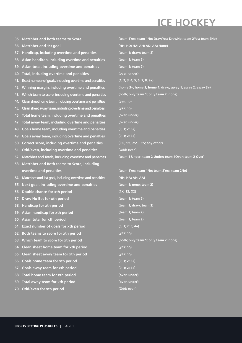## **ICE HOCKEY**

| 35. Matchbet and both teams to Score                           | (team 1Yes; team 1No; DrawYes; DrawNo; team 2Yes; team 2No) |
|----------------------------------------------------------------|-------------------------------------------------------------|
| <b>Matchbet and 1st goal</b><br>36.                            | (HH; HD; HA; AH; AD; AA; None)                              |
| 37. Handicap, including overtime and penalties                 | (team 1; draw; team 2)                                      |
| Asian handicap, including overtime and penalties<br>38.        | (team 1; team 2)                                            |
| Asian total, including overtime and penalties<br>39.           | (team 1; team 2)                                            |
| Total, including overtime and penalties<br>40.                 | (over; under)                                               |
| Exact number of goals, including overtime and penalties<br>41. | $(1; 2; 3; 4; 5; 6; 7; 8; 9+)$                              |
| Winning margin, including overtime and penalties<br>42.        | (home 3+; home 2; home 1; draw; away 1; away 2; away 3+)    |
| Which team to score, including overtime and penalties<br>43.   | (both; only team 1; only team 2; none)                      |
| Clean sheet home team, induding overtime and penalties<br>44.  | (yes; no)                                                   |
| Clean sheet away team, including overtime and penalties<br>45. | (yes; no)                                                   |
| Total home team, including overtime and penalties<br>46.       | (over; under)                                               |
| Total away team, including overtime and penalties<br>47.       | (over; under)                                               |
| Goals home team, including overtime and penalties<br>48.       | $(0; 1; 2; 3+)$                                             |
| Goals away team, including overtime and penalties<br>49.       | $(0; 1; 2; 3+)$                                             |
| Correct score, including overtime and penalties<br>50.         | (0:0, 1:1, 2:2,5:5; any other)                              |
| Odd/even, including overtime and penalties<br>51.              | (Odd; even)                                                 |
| Matchbet and Totals, including overtime and penalties<br>52.   | (team 1 Under; team 2 Under; team 1Over; team 2 Over)       |
| 53. Matchbet and Both teams to Score, including                |                                                             |
| overtime and penalties                                         | (team 1Yes; team 1No; team 2Yes; team 2No)                  |
| Matchbet and 1st goal, including overtime and penalties<br>54. | (HH; HA; AH; AA)                                            |
| Next goal, including overtime and penalties<br>55.             | (team 1; none; team 2)                                      |
| Double chance for xth period<br>56.                            | (1X; 12; X2)                                                |
| <b>Draw No Bet for xth period</b><br>57.                       | (team 1; team 2)                                            |
| 58. Handicap for xth period                                    | (team 1; draw; team 2)                                      |
| 59. Asian handicap for xth period                              | (team 1; team 2)                                            |
| 60. Asian total for xth period                                 | (team 1; team 2)                                            |
| 61. Exact number of goals for xth period                       | $(0; 1; 2; 3; 4+)$                                          |
| Both teams to score for xth period<br>62.                      | (yes; no)                                                   |
| Which team to score for xth period<br>63.                      | (both; only team 1; only team 2; none)                      |
| Clean sheet home team for xth period<br>64.                    | (yes; no)                                                   |
| Clean sheet away team for xth period<br>65.                    | (yes; no)                                                   |
| Goals home team for xth period<br>66.                          | $(0; 1; 2; 3+)$                                             |
| Goals away team for xth period<br>67.                          | $(0; 1; 2; 3+)$                                             |
| Total home team for xth period<br>68.                          | (over; under)                                               |
| Total away team for xth period<br>69.                          | (over; under)                                               |
| 70. Odd/even for xth period                                    | (Odd; even)                                                 |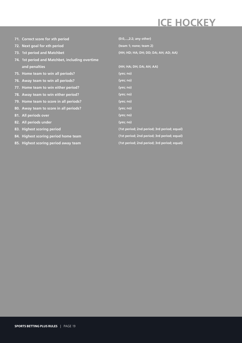## **ICE HOCKEY**

| 71. Correct score for xth period                | $(0:0,,2:2;$ any other)                     |
|-------------------------------------------------|---------------------------------------------|
| 72. Next goal for xth period                    | (team 1; none; team 2)                      |
| 73. 1st period and Matchbet                     | (HH; HD; HA; DH; DD; DA; AH; AD; AA)        |
| 74. 1st period and Matchbet, including overtime |                                             |
| and penalties                                   | (HH; HA; DH; DA; AH; AA)                    |
| 75. Home team to win all periods?               | (yes; no)                                   |
| 76. Away team to win all periods?               | (yes; no)                                   |
| 77. Home team to win either period?             | (yes; no)                                   |
| 78. Away team to win either period?             | (yes; no)                                   |
| 79. Home team to score in all periods?          | (yes; no)                                   |
| 80. Away team to score in all periods?          | (yes; no)                                   |
| 81. All periods over                            | (yes; no)                                   |
| 82. All periods under                           | (yes; no)                                   |
| 83. Highest scoring period                      | (1st period; 2nd period; 3rd period; equal) |
| 84. Highest scoring period home team            | (1st period; 2nd period; 3rd period; equal) |
| 85. Highest scoring period away team            | (1st period; 2nd period; 3rd period; equal) |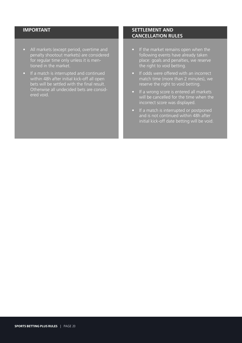- All markets (except period, overtime and penalty shootout markets) are considered for regular time only unless it is mentioned in the market.
- If a match is interrupted and continued within 48h after initial kick-off all open bets will be settled with the final result. Otherwise all undecided bets are considered void.

- If the market remains open when the following events have already taken place: goals and penalties, we reserve the right to void betting.
- If odds were offered with an incorrect match time (more than 2 minutes), we reserve the right to void betting.
- If a wrong score is entered all markets will be cancelled for the time when the incorrect score was displayed.
- If a match is interrupted or postponed and is not continued within 48h after initial kick-off date betting will be void.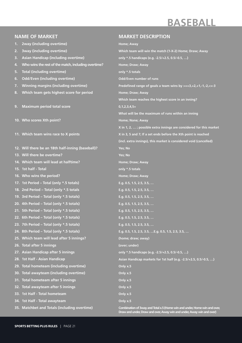# **BASEBALL**

### **NAME OF MARKET**

- **1. 2way (including overtime)**
- **2. 3way (including overtime)**
- **3. Asian Handicap (including overtime)**
- **4. Who wins the rest of the match, including overtime?**
- **5. Total (including overtime)**
- **6. Odd/Even (including overtime)**
- **7. Winning margins (including overtime)**
- **8. Which team gets highest score for period**
- **9. Maximum period total score**
- **10. Who scores Xth point?**
- **11. Which team wins race to X points**
- **12. Will there be an 18th half-inning (baseball)?**
- **13. Will there be overtime?**
- **14. Which team will lead at halftime?**
- **15. 1st half Total**
- **16. Who wins the period?**
- **17. 1st Period Total (only \*.5 totals)**
- **18. 2nd Period Total (only \*.5 totals**
- **19. 3rd Period Total (only \*.5 totals)**
- **20. 4th Period Total (only \*.5 totals)**
- **21. 5th Period Total (only \*.5 totals)**
- **22. 6th Period Total (only \*.5 totals)**
- **23. 7th Period Total (only \*.5 totals)**
- **24. 8th Period Total (only \*.5 totals)**
- **25. Which team will lead after 5 innings?**
- **26. Total after 5 innings**
- **27. Asian Handicap after 5 innings**
- **28. 1st Half Asian Handicap**
- **29. Total hometeam (including overtime)**
- **30. Total awayteam (including overtime)**
- **31. Total hometeam after 5 innings**
- **32. Total awayteam after 5 innings**
- **33. 1st Half Total hometeam**
- **34. 1st Half Total awayteam**
- **35. Matchbet and Totals (including overtime)**

#### **MARKET DESCRIPTION**

**Home; Away Which team will win the match (1-X-2) Home; Draw; Away only \*.5 handicaps (e.g. -2.5/+2.5, 0.5/-0.5, …) Home; Draw; Away only \*.5 totals Odd/Even number of runs Predefined range of goals a team wins by >=+3,+2,+1,-1,-2,<=-3 Home; Draw; Away Which team reaches the highest score in an inning? 0,1,2,3,4,5+ What will be the maximum of runs within an inning Home; None; Away X in 1, 2, … ; possible extra innings are considered for this market X in 3, 5 and 7; If a set ends before the Xth point is reached (incl. extra innings), this market is considered void (cancelled) Yes; No Yes; No Home; Draw; Away only \*.5 totals Home; Draw; Away E.g. 0.5, 1.5, 2.5, 3.5, … E.g. 0.5, 1.5, 2.5, 3.5, … E.g. 0.5, 1.5, 2.5, 3.5, … E.g. 0.5, 1.5, 2.5, 3.5, … E.g. 0.5, 1.5, 2.5, 3.5, … E.g. 0.5, 1.5, 2.5, 3.5, … E.g. 0.5, 1.5, 2.5, 3.5, … E.g. 0.5, 1.5, 2.5, 3.5, …E.g. 0.5, 1.5, 2.5, 3.5, … (home; draw; away) (over; under) only \*.5 handicaps (e.g. -2.5/+2.5, 0.5/-0.5, …) Asian Handicap markets for 1st half (e.g. -2.5/+2.5, 0.5/-0.5, …) Only x.5 Only x.5 Only x.5 Only x.5 Only x.5 Only x.5**

**Combination of 3way and Total x.5 (Home win and under, Home win and over, Draw and under, Draw and over, Away win and under, Away win and over)**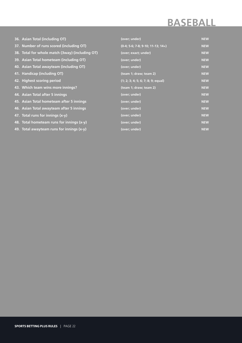## **BASEBALL**

| 36. Asian Total (including OT)                  | (over; under)                       | <b>NEW</b> |
|-------------------------------------------------|-------------------------------------|------------|
| 37. Number of runs scored (including OT)        | $(0-4; 5-6; 7-8; 9-10; 11-13; 14+)$ | <b>NEW</b> |
| 38. Total for whole match (3way) (including OT) | (over; exact; under)                | <b>NEW</b> |
| 39. Asian Total hometeam (including OT)         | (over; under)                       | <b>NEW</b> |
| 40. Asian Total awayteam (including OT)         | (over; under)                       | <b>NEW</b> |
| 41. Handicap (including OT)                     | (team 1; draw; team 2)              | <b>NEW</b> |
| 42. Highest scoring period                      | (1; 2; 3; 4; 5; 6; 7; 8; 9; equal)  | <b>NEW</b> |
| 43. Which team wins more innings?               | (team 1; draw; team 2)              | <b>NEW</b> |
| 44. Asian Total after 5 innings                 | (over; under)                       | <b>NEW</b> |
| 45. Asian Total hometeam after 5 innings        | (over; under)                       | <b>NEW</b> |
| 46. Asian Total awayteam after 5 innings        | (over; under)                       | <b>NEW</b> |
| 47. Total runs for innings (x-y)                | (over; under)                       | <b>NEW</b> |
| 48. Total hometeam runs for innings (x-y)       | (over; under)                       | <b>NEW</b> |
| 49. Total awayteam runs for innings (x-y)       | (over; under)                       | <b>NEW</b> |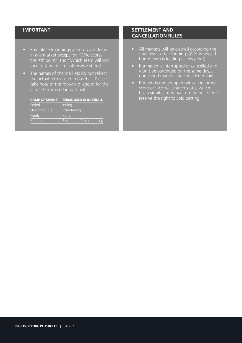- Possible extra innings are not considered in any market except for "Who scores the Xth point" and "Which team will win race to X points" or otherwise stated.
- The names of the markets do not reflect the actual terms used in baseball. Please take note of the following legend for the actual terms used in baseball:

| NAME OF MARKET TERMS USED IN BASEBALL |  |  |  |
|---------------------------------------|--|--|--|
|                                       |  |  |  |

| Period          | Inning                       |
|-----------------|------------------------------|
| Overtime (OT)   | Extra Inning                 |
| Points          | <b>Runs</b>                  |
| <b>Halftime</b> | Result after 9th half-inning |

- All markets will be cleared according the final result after 9 innings (8 ½ innings if home team is leading at this point)
- If a match is interrupted or cancelled and won't be continued on the same day, all undecided markets are considered void.
- If markets remain open with an incorrect score or incorrect match status which has a significant impact on the prices, we reserve the right to void betting.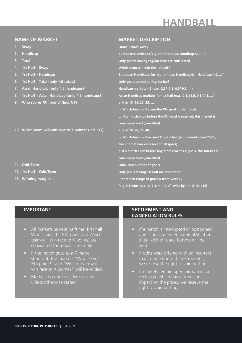# **HANDBALL**

#### **NAME OF MARKET**

- **1. 3way**
- **2. Handicap**
- **3. Total**
- **4. 1st Half 3way**
- **5. 1st Half Handicap**
- **6. 1st Half Total (only \*.5 totals)**
- **7. Asian Handicap (only \*.5 handicaps)**
- **8. 1st Half Asian Handicap (only \*.5 handicaps)**
- **9. Who scores Xth point? (Incl. OT)**
- **10. Which team will win race to X points? (Incl. OT)**

#### **11. Odd/Even**

- **12. 1st Half Odd/Even**
- **13. Winning margins**

#### **MARKET DESCRIPTION**

**Home; Draw; Away**

**European Handicaps (e.g. Handicap 0:2, Handicap 5:0, …) Only points during regular time are considered Which team will win the 1st half? European Handicaps for 1st half (e.g. Handicap 0:1, Handicap 1:0, …) Only goals scored during 1st half Handicap markets \*.5 (e.g. -2.5/+2.5, 0.5/-0.5, …) Asian Handicap markets for 1st half (e.g. -2.5/+2.5, 0.5/-0.5, …) a. X in 10, 15, 20, 25, … b. Which team will score the Xth goal in the match c. If a match ends before the Xth goal is reached, this market is considered void (cancelled) a. X in 10, 20, 30, 40, … b. Which team will exceed X goals first (e.g. current score 20-19, then hometeam wins race to 20 goals) c. If a match ends before any team reaches X goals, this market is considered void (cancelled) Odd/Even number of goals Only goals during 1st half are considered Predefined range of goals a team wins by (e.g. HT wins by >10, 9-5, 4-1, 0, AT wins by 1-4, 5-10, >10)**

#### **IMPORTANT**

- All markets (except halftime, first half, Who scores the Xth point and Which team will win race to X points) are considered for regular time only.
- If the match goes to a 7-metre shootout; the markets "Who scores Xth point?" and "Which team will win race to X points?" will be voided.
- Markets do not consider overtime unless otherwise stated.

- If a match is interrupted or postponed and is not continued within 48h after initial kick-off date, betting will be void.
- If odds were offered with an incorrect match time (more than 3 minutes), we reserve the right to void betting.
- If markets remain open with an incorrect score which has a significant impact on the prices, we reserve the right to void betting.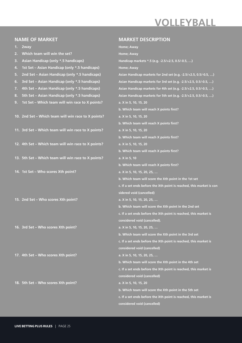## **VOLLEYBALL**

**MARKET DESCRIPTION**

### **NAME OF MARKET**

| 1. | 2way                                                | Home; Away                                                           |
|----|-----------------------------------------------------|----------------------------------------------------------------------|
| 2. | Which team will win the set?                        | Home; Away                                                           |
| 3. | Asian Handicap (only *.5 handicaps)                 | Handicap markets *.5 (e.g. -2.5/+2.5, 0.5/-0.5, )                    |
| 4. | 1st Set - Asian Handicap (only *.5 handicaps)       | Home; Away                                                           |
| 5. | 2nd Set - Asian Handicap (only *.5 handicaps)       | Asian Handicap markets for 2nd set (e.g. -2.5/+2.5, 0.5/-0.5, )      |
| 6. | 3rd Set - Asian Handicap (only *.5 handicaps)       | Asian Handicap markets for 3rd set (e.g. -2.5/+2.5, 0.5/-0.5, )      |
| 7. | 4th Set - Asian Handicap (only *.5 handicaps)       | Asian Handicap markets for 4th set (e.g. -2.5/+2.5, 0.5/-0.5, )      |
| 8. | 5th Set - Asian Handicap (only *.5 handicaps)       | Asian Handicap markets for 5th set (e.g. -2.5/+2.5, 0.5/-0.5, )      |
| 9. | 1st Set - Which team will win race to X points?     | a. X in 5, 10, 15, 20                                                |
|    |                                                     | b. Which team will reach X points first?                             |
|    | 10. 2nd Set - Which team will win race to X points? | a. X in 5, 10, 15, 20                                                |
|    |                                                     | b. Which team will reach X points first?                             |
|    | 11. 3rd Set - Which team will win race to X points? | a. X in 5, 10, 15, 20                                                |
|    |                                                     | b. Which team will reach X points first?                             |
|    | 12. 4th Set - Which team will win race to X points? | a. X in 5, 10, 15, 20                                                |
|    |                                                     | b. Which team will reach X points first?                             |
|    | 13. 5th Set - Which team will win race to X points? | a. X in 5, 10                                                        |
|    |                                                     | b. Which team will reach X points first?                             |
|    | 14. 1st Set - Who scores Xth point?                 | a. X in 5, 10, 15, 20, 25,                                           |
|    |                                                     | b. Which team will score the Xth point in the 1st set                |
|    |                                                     | c. If a set ends before the Xth point is reached, this market is con |
|    |                                                     | sidered void (cancelled)                                             |
|    | 15. 2nd Set - Who scores Xth point?                 | a. X in 5, 10, 15, 20, 25,                                           |
|    |                                                     | b. Which team will score the Xth point in the 2nd set                |
|    |                                                     | c. If a set ends before the Xth point is reached, this market is     |
|    |                                                     | considered void (cancelled).                                         |
|    | 16. 3rd Set - Who scores Xth point?                 | a. X in 5, 10, 15, 20, 25,                                           |
|    |                                                     | b. Which team will score the Xth point in the 3rd set                |
|    |                                                     | c. If a set ends before the Xth point is reached, this market is     |
|    |                                                     | considered void (cancelled)                                          |
|    | 17. 4th Set - Who scores Xth point?                 | a. X in 5, 10, 15, 20, 25,                                           |
|    |                                                     | b. Which team will score the Xth point in the 4th set                |
|    |                                                     | c. If a set ends before the Xth point is reached, this market is     |
|    |                                                     | considered void (cancelled)                                          |
|    | 18. 5th Set - Who scores Xth point?                 | a. X in 5, 10, 15, 20                                                |
|    |                                                     | b. Which team will score the Xth point in the 5th set                |
|    |                                                     | c. If a set ends before the Xth point is reached, this market is     |
|    |                                                     | considered void (cancelled)                                          |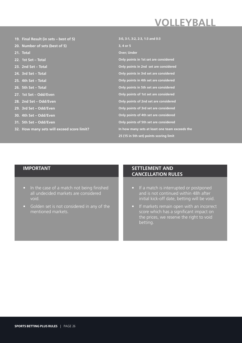## **VOLLEYBALL**

| 19. Final Result (in sets - best of 5)     | 3:0, 3:1, 3:2, 2:3, 1:3 and 0:3                |
|--------------------------------------------|------------------------------------------------|
| 20. Number of sets (best of 5)             | 3, 4 or 5                                      |
| 21. Total                                  | <b>Over</b> ; Under                            |
| 22. 1st Set - Total                        | Only points in 1st set are considered          |
| 23. 2nd Set - Total                        | Only points in 2nd set are considered          |
| 24. 3rd Set - Total                        | Only points in 3rd set are considered          |
| 25. 4th Set - Total                        | Only points in 4th set are considered          |
| 26. 5th Set - Total                        | Only points in 5th set are considered          |
| 27. 1st Set - Odd/Even                     | Only points of 1st set are considered          |
| 28. 2nd Set - Odd/Even                     | Only points of 2nd set are considered          |
| 29. 3rd Set - Odd/Even                     | Only points of 3rd set are considered          |
| 30. 4th Set - Odd/Even                     | Only points of 4th set are considered          |
| 31. 5th Set - Odd/Even                     | Only points of 5th set are considered          |
| 32. How many sets will exceed score limit? | In how many sets at least one team exceeds the |
|                                            | 25 (15 in 5th set) points scoring limit        |

### **IMPORTANT**

- In the case of a match not being finished all undecided markets are considered void.
- Golden set is not considered in any of the mentioned markets.

- If a match is interrupted or postponed and is not continued within 48h after initial kick-off date, betting will be void.
- If markets remain open with an incorrect score which has a significant impact on the prices, we reserve the right to void betting.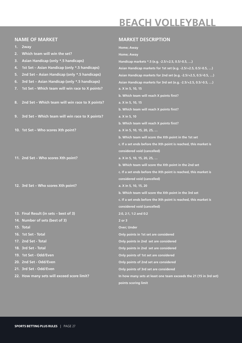## **BEACH VOLLEYBALL**

|    | <b>NAME OF MARKET</b>                           | <b>MARKET DESCRIPTION</b>                                         |
|----|-------------------------------------------------|-------------------------------------------------------------------|
| 1. | 2way                                            | Home; Away                                                        |
| 2. | Which team will win the set?                    | Home; Away                                                        |
| 3. | Asian Handicap (only *.5 handicaps)             | Handicap markets *.5 (e.g. -2.5/+2.5, 0.5/-0.5, )                 |
| 4. | 1st Set - Asian Handicap (only *.5 handicaps)   | Asian Handicap markets for 1st set (e.g. -2.5/+2.5, 0.5/-0.5, )   |
| 5. | 2nd Set - Asian Handicap (only *.5 handicaps)   | Asian Handicap markets for 2nd set (e.g. -2.5/+2.5, 0.5/-0.5, )   |
| 6. | 3rd Set - Asian Handicap (only *.5 handicaps)   | Asian Handicap markets for 3rd set (e.g. -2.5/+2.5, 0.5/-0.5, )   |
| 7. | 1st Set - Which team will win race to X points? | a. X in 5, 10, 15                                                 |
|    |                                                 | b. Which team will reach X points first?                          |
| 8. | 2nd Set - Which team will win race to X points? | a. X in 5, 10, 15                                                 |
|    |                                                 | b. Which team will reach X points first?                          |
| 9. | 3rd Set - Which team will win race to X points? | a. X in 5, 10                                                     |
|    |                                                 | b. Which team will reach X points first?                          |
|    | 10. 1st Set - Who scores Xth point?             | a. X in 5, 10, 15, 20, 25,                                        |
|    |                                                 | b. Which team will score the Xth point in the 1st set             |
|    |                                                 | c. If a set ends before the Xth point is reached, this market is  |
|    |                                                 | considered void (cancelled)                                       |
|    | 11. 2nd Set - Who scores Xth point?             | a. X in 5, 10, 15, 20, 25,                                        |
|    |                                                 | b. Which team will score the Xth point in the 2nd set             |
|    |                                                 | c. If a set ends before the Xth point is reached, this market is  |
|    |                                                 | considered void (cancelled)                                       |
|    | 12. 3rd Set - Who scores Xth point?             | a. X in 5, 10, 15, 20                                             |
|    |                                                 | b. Which team will score the Xth point in the 3rd set             |
|    |                                                 | c. If a set ends before the Xth point is reached, this market is  |
|    |                                                 | considered void (cancelled)                                       |
|    | 13. Final Result (in sets - best of 3)          | 2:0, 2:1, 1:2 and 0:2                                             |
|    | 14. Number of sets (best of 3)                  | $2$ or $3$                                                        |
|    | 15. Total                                       | <b>Over; Under</b>                                                |
|    | 16. 1st Set - Total                             | Only points in 1st set are considered                             |
|    | 17. 2nd Set - Total                             | Only points in 2nd set are considered                             |
|    | 18. 3rd Set - Total                             | Only points in 2nd set are considered                             |
|    | 19. 1st Set - Odd/Even                          | Only points of 1st set are considered                             |
|    | 20. 2nd Set - Odd/Even                          | Only points of 2nd set are considered                             |
|    | 21. 3rd Set - Odd/Even                          | Only points of 3rd set are considered                             |
|    | 22. How many sets will exceed score limit?      | In how many sets at least one team exceeds the 21 (15 in 3rd set) |
|    |                                                 | points scoring limit                                              |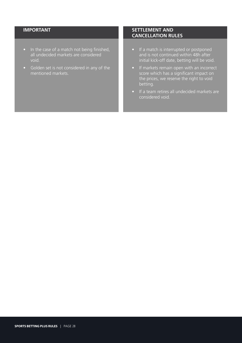- In the case of a match not being finished, all undecided markets are considered void.
- Golden set is not considered in any of the mentioned markets.

- If a match is interrupted or postponed and is not continued within 48h after initial kick-off date, betting will be void.
- If markets remain open with an incorrect score which has a significant impact on the prices, we reserve the right to void betting.
- If a team retires all undecided markets are considered void.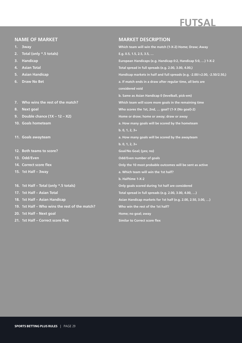# **FUTSAL**

#### **NAME OF MARKET**

- **1. 3way**
- **2. Total (only \*.5 totals)**
- **3. Handicap**
- **4. Asian Total**
- **5. Asian Handicap**
- **6. Draw No Bet**
- **7. Who wins the rest of the match?**
- **8. Next goal**
- **9. Double chance (1X 12 X2)**
- **10. Goals hometeam**
- **11. Goals awayteam**
- **12. Both teams to score?**
- **13. Odd/Even**
- **14. Correct score flex**
- **15. 1st Half 3way**
- **16. 1st Half Total (only \*.5 totals)**
- **17. 1st Half Asian Total**
- **18. 1st Half Asian Handicap**
- **19. 1st Half Who wins the rest of the match?**
- **20. 1st Half Next goal**
- **21. 1st Half Correct score flex**

#### **MARKET DESCRIPTION**

**Which team will win the match (1-X-2) Home; Draw; Away E.g. 0.5, 1.5, 2.5, 3.5, … European Handicaps (e.g. Handicap 0:2, Handicap 5:0, …) 1-X-2 Total spread in full spreads (e.g. 2.00, 3.00, 4.00,) Handicap markets in half and full spreads (e.g. -2.00/+2.00, -2.50/2.50,) a. If match ends in a draw after regular time, all bets are considered void b. Same as Asian Handicap 0 (levelball, pick-em) Which team will score more goals in the remaining time Who scores the 1st, 2nd, … goal? (1-X (No goal)-2) Home or draw; home or away; draw or away a. How many goals will be scored by the hometeam b. 0, 1, 2, 3+ a. How many goals will be scored by the awayteam b. 0, 1, 2, 3+ Goal/No Goal; (yes; no) Odd/Even number of goals Only the 10 most probable outcomes will be sent as active a. Which team will win the 1st half? b. Halftime 1-X-2 Only goals scored during 1st half are considered Total spread in full spreads (e.g. 2.00, 3.00, 4.00, …) Asian Handicap markets for 1st half (e.g. 2.00, 2.50, 3.00, …) Who win the rest of the 1st half? Home; no goal; away Similar to Correct score flex**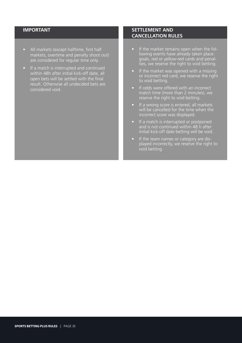- All markets (except halftime, first half markets, overtime and penalty shoot out) are considered for regular time only.
- If a match is interrupted and continued within 48h after initial kick-off date, all open bets will be settled with the final result. Otherwise all undecided bets are considered void.

- If the market remains open when the following events have already taken place: goals, red or yellow-red cards and penalties, we reserve the right to void betting.
- If the market was opened with a missing or incorrect red card, we reserve the right to void betting.
- If odds were offered with an incorrect match time (more than 2 minutes), we reserve the right to void betting.
- If a wrong score is entered, all markets will be cancelled for the time when the incorrect score was displayed.
- If a match is interrupted or postponed and is not continued within 48 h after initial kick-off date betting will be void.
- If the team names or category are displayed incorrectly, we reserve the right to void betting.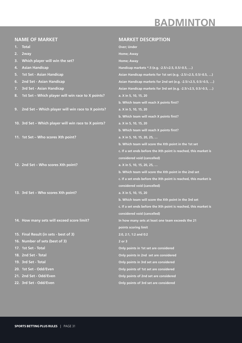## **BADMINTON**

|    | <b>NAME OF MARKET</b>                                 | <b>MARKET DESCRIPTION</b>                                        |
|----|-------------------------------------------------------|------------------------------------------------------------------|
| 1. | <b>Total</b>                                          | <b>Over; Under</b>                                               |
| 2. | 2way                                                  | Home; Away                                                       |
| 3. | Which player will win the set?                        | Home; Away                                                       |
| 4. | <b>Asian Handicap</b>                                 | Handicap markets *.5 (e.g. -2.5/+2.5, 0.5/-0.5, )                |
| 5. | 1st Set - Asian Handicap                              | Asian Handicap markets for 1st set (e.g. -2.5/+2.5, 0.5/-0.5, )  |
| 6. | 2nd Set - Asian Handicap                              | Asian Handicap markets for 2nd set (e.g. -2.5/+2.5, 0.5/-0.5, )  |
| 7. | 3rd Set - Asian Handicap                              | Asian Handicap markets for 3rd set (e.g. -2.5/+2.5, 0.5/-0.5, )  |
| 8. | 1st Set - Which player will win race to X points?     | a. X in 5, 10, 15, 20                                            |
|    |                                                       | b. Which team will reach X points first?                         |
| 9. | 2nd Set - Which player will win race to X points?     | a. X in 5, 10, 15, 20                                            |
|    |                                                       | b. Which team will reach X points first?                         |
|    | 10. 3rd Set - Which player will win race to X points? | a. X in 5, 10, 15, 20                                            |
|    |                                                       | b. Which team will reach X points first?                         |
|    | 11. 1st Set - Who scores Xth point?                   | a. X in 5, 10, 15, 20, 25,                                       |
|    |                                                       | b. Which team will score the Xth point in the 1st set            |
|    |                                                       | c. If a set ends before the Xth point is reached, this market is |
|    |                                                       | considered void (cancelled)                                      |
|    | 12. 2nd Set - Who scores Xth point?                   | a. X in 5, 10, 15, 20, 25,                                       |
|    |                                                       | b. Which team will score the Xth point in the 2nd set            |
|    |                                                       | c. If a set ends before the Xth point is reached, this market is |
|    |                                                       | considered void (cancelled)                                      |
|    | 13. 3rd Set - Who scores Xth point?                   | a. X in 5, 10, 15, 20                                            |
|    |                                                       | b. Which team will score the Xth point in the 3rd set            |
|    |                                                       | c. If a set ends before the Xth point is reached, this market is |
|    |                                                       | considered void (cancelled)                                      |
|    | 14. How many sets will exceed score limit?            | In how many sets at least one team exceeds the 21                |
|    |                                                       | points scoring limit                                             |
|    | 15. Final Result (in sets - best of 3)                | 2:0, 2:1, 1:2 and 0:2                                            |
|    | 16. Number of sets (best of 3)                        | 2 or 3                                                           |
|    | 17. 1st Set - Total                                   | Only points in 1st set are considered                            |
|    | 18. 2nd Set - Total                                   | Only points in 2nd set are considered                            |
|    | 19. 3rd Set - Total                                   | Only points in 3rd set are considered                            |
|    | 20. 1st Set - Odd/Even                                | Only points of 1st set are considered                            |
|    | 21. 2nd Set - Odd/Even                                | Only points of 2nd set are considered                            |
|    | 22. 3rd Set - Odd/Even                                | Only points of 3rd set are considered                            |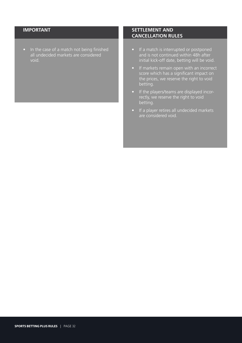• In the case of a match not being finished all undecided markets are considered void.

- If a match is interrupted or postponed and is not continued within 48h after initial kick-off date, betting will be void.
- If markets remain open with an incorrect score which has a significant impact on the prices, we reserve the right to void betting.
- If the players/teams are displayed incorrectly, we reserve the right to void betting.
- If a player retires all undecided markets are considered void.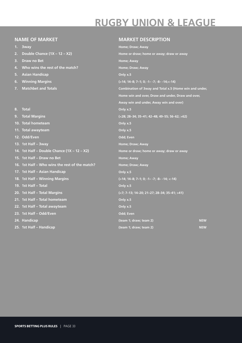# **RUGBY UNION & LEAGUE**

#### **NAME OF MARKET**

- **1. 3way**
- **2. Double Chance (1X 12 X2)**
- **3. Draw no Bet**
- **4. Who wins the rest of the match?**
- **5. Asian Handicap**
- **6. Winning Margins**
- **7. Matchbet and Totals**
- **8. Total**
- **9. Total Margins**
- **10. Total hometeam**
- **11. Total awayteam**
- **12. Odd/Even**
- **13. 1st Half 3way**
- **14. 1st Half Double Chance (1X 12 X2)**
- **15. 1st Half Draw no Bet**
- **16. 1st Half Who wins the rest of the match?**
- **17. 1st Half Asian Handicap**
- **18. 1st Half Winning Margins**
- **19. 1st Half Total**
- **20. 1st Half Total Margins**
- **21. 1st Half Total hometeam**
- **22. 1st Half Total awayteam**
- **23. 1st Half Odd/Even**
- **24. Handicap**
- **25. 1st Half Handicap**

#### **MARKET DESCRIPTION**

**Home; Draw; Away Home or draw; home or away; draw or away Home; Away Home; Draw; Away Only x.5 (>14; 14–8; 7–1; 0; -1– -7; -8– -14;<-14) Combination of 3way and Total x.5 (Home win and under, Home win and over, Draw and under, Draw and over, Away win and under, Away win and over) Only x.5 (<28; 28–34; 35–41; 42–48; 49–55; 56–62; >62) Only x.5 Only x.5 Odd; Even Home; Draw; Away Home or draw; home or away; draw or away Home; Away Home; Draw; Away Only x.5 (>14; 14–8; 7–1; 0; -1– -7; -8– -14; <-14) Only x.5 (<7; 7–13; 14–20; 21–27; 28–34; 35–41; >41) Only x.5 Only x.5 Odd; Even (team 1; draw; team 2) NEW (team 1; draw; team 2) NEW**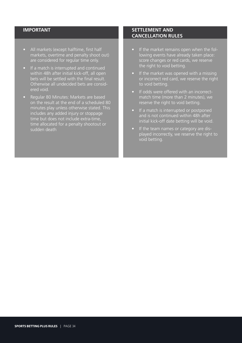- All markets (except halftime, first half markets, overtime and penalty shoot out) are considered for regular time only.
- If a match is interrupted and continued within 48h after initial kick-off, all open bets will be settled with the final result. Otherwise all undecided bets are considered void.
- Regular 80 Minutes: Markets are based on the result at the end of a scheduled 80 minutes play unless otherwise stated. This includes any added injury or stoppage time but does not include extra-time, time allocated for a penalty shootout or sudden death

- If the market remains open when the following events have already taken place: score changes or red cards, we reserve the right to void betting.
- If the market was opened with a missing or incorrect red card, we reserve the right to void betting.
- If odds were offered with an incorrectmatch time (more than 2 minutes), we reserve the right to void betting.
- If a match is interrupted or postponed and is not continued within 48h after initial kick-off date betting will be void.
- If the team names or category are displayed incorrectly, we reserve the right to void betting.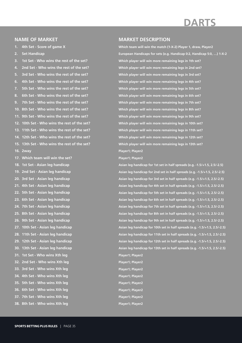#### **NAME OF MARKET**

**1. 4th Set - Score of game X**

**2. Set Handicap**

**3. 1st Set - Who wins the rest of the set?**

**4. 2nd Set - Who wins the rest of the set? 5. 3rd Set - Who wins the rest of the set? 6. 4th Set - Who wins the rest of the set? 7. 5th Set - Who wins the rest of the set? 8. 6th Set - Who wins the rest of the set? 9. 7th Set - Who wins the rest of the set? 10. 8th Set - Who wins the rest of the set? 11. 9th Set - Who wins the rest of the set? 12. 10th Set - Who wins the rest of the set? 13. 11th Set - Who wins the rest of the set? 14. 12th Set - Who wins the rest of the set? 15. 13th Set - Who wins the rest of the set? 16. 2way**

**17. Which team will win the set?**

**18. 1st Set - Asian leg handicap 19. 2nd Set - Asian leg handicap 20. 3rd Set - Asian leg handicap 21. 4th Set - Asian leg handicap 22. 5th Set - Asian leg handicap 23. 6th Set - Asian leg handicap 24. 7th Set - Asian leg handicap 25. 8th Set - Asian leg handicap 26. 9th Set - Asian leg handicap 27. 10th Set - Asian leg handicap 28. 11th Set - Asian leg handicap 29. 12th Set - Asian leg handicap 30. 13th Set - Asian leg handicap 31. 1st Set - Who wins Xth leg 32. 2nd Set - Who wins Xth leg 33. 3rd Set - Who wins Xth leg 34. 4th Set - Who wins Xth leg 35. 5th Set - Who wins Xth leg 36. 6th Set - Who wins Xth leg 37. 7th Set - Who wins Xth leg 38. 8th Set - Who wins Xth leg**

#### **MARKET DESCRIPTION**

**Which team will win the match (1-X-2) Player 1, draw, Player2 European Handicaps for sets (e.g. Handicap 0:2, Handicap 5:0, …) 1-X-2 Which player will win more remaining legs in 1th set? Which player will win more remaining legs in 2nd set? Which player will win more remaining legs in 3rd set? Which player will win more remaining legs in 4th set? Which player will win more remaining legs in 5th set? Which player will win more remaining legs in 6th set? Which player will win more remaining legs in 7th set? Which player will win more remaining legs in 8th set? Which player will win more remaining legs in 9th set? Which player will win more remaining legs in 10th set? Which player will win more remaining legs in 11th set? Which player will win more remaining legs in 12th set? Which player will win more remaining legs in 13th set? Player1; Player2**

**Player1; Player2**

**Asian leg handicap for 1st set in half spreads (e.g. -1.5/+1.5, 2.5/-2.5) Asian leg handicap for 2nd set in half spreads (e.g. -1.5/+1.5, 2.5/-2.5) Asian leg handicap for 3rd set in half spreads (e.g. -1.5/+1.5, 2.5/-2.5) Asian leg handicap for 4th set in half spreads (e.g. -1.5/+1.5, 2.5/-2.5) Asian leg handicap for 5th set in half spreads (e.g. -1.5/+1.5, 2.5/-2.5) Asian leg handicap for 6th set in half spreads (e.g. -1.5/+1.5, 2.5/-2.5) Asian leg handicap for 7th set in half spreads (e.g. -1.5/+1.5, 2.5/-2.5) Asian leg handicap for 8th set in half spreads (e.g. -1.5/+1.5, 2.5/-2.5) Asian leg handicap for 9th set in half spreads (e.g. -1.5/+1.5, 2.5/-2.5) Asian leg handicap for 10th set in half spreads (e.g. -1.5/+1.5, 2.5/-2.5) Asian leg handicap for 11th set in half spreads (e.g. -1.5/+1.5, 2.5/-2.5) Asian leg handicap for 12th set in half spreads (e.g. -1.5/+1.5, 2.5/-2.5) Asian leg handicap for 13th set in half spreads (e.g. -1.5/+1.5, 2.5/-2.5) Player1; Player2**

**Player1; Player2 Player1; Player2 Player1; Player2 Player1; Player2 Player1; Player2 Player1; Player2**

**Player1; Player2**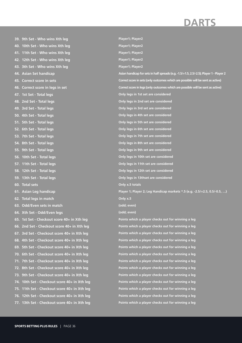**39. 9th Set - Who wins Xth leg 40. 10th Set - Who wins Xth leg 41. 11th Set - Who wins Xth leg 42. 12th Set - Who wins Xth leg 43. 3th Set - Who wins Xth leg 44. Asian Set handicap 45. Correct score in sets 46. Correct score in legs in set 47. 1st Set - Total legs 48. 2nd Set - Total legs 49. 3rd Set - Total legs 50. 4th Set - Total legs 51. 5th Set - Total legs 52. 6th Set - Total legs 53. 7th Set - Total legs 54. 8th Set - Total legs 55. 9th Set - Total legs 56. 10th Set - Total legs 57. 11th Set - Total legs 58. 12th Set - Total legs 59. 13th Set - Total legs 60. Total sets 61. Asian Leg handicap 62. Total legs in match 63. Odd/Even sets in match 64. Xth Set - Odd/Even legs 65. 1st Set - Checkout score 40+ in Xth leg 66. 2nd Set - Checkout score 40+ in Xth leg 67. 3rd Set - Checkout score 40+ in Xth leg 68. 4th Set - Checkout score 40+ in Xth leg 69. 5th Set - Checkout score 40+ in Xth leg 70. 6th Set - Checkout score 40+ in Xth leg 71. 7th Set - Checkout score 40+ in Xth leg 72. 8th Set - Checkout score 40+ in Xth leg 73. 9th Set - Checkout score 40+ in Xth leg 74. 10th Set - Checkout score 40+ in Xth leg 75. 11th Set - Checkout score 40+ in Xth leg 76. 12th Set - Checkout score 40+ in Xth leg 77. 13th Set - Checkout score 40+ in Xth leg**

**Player1; Player2 Player1; Player2 Player1; Player2 Player1; Player2 Player1; Player2 Asian handicap for sets in half spreads (e.g. -1.5/+1.5, 2.5/-2.5); Player 1 - Player 2 Correct score in sets (only outcomes which are possible will be sent as active) Correct score in legs (only outcomes which are possible will be sent as active) Only legs in 1st set are considered Only legs in 2nd set are considered Only legs in 3rd set are considered Only legs in 4th set are considered Only legs in 5th set are considered Only legs in 6th set are considered Only legs in 7th set are considered Only legs in 8th set are considered Only legs in 9th set are considered Only legs in 10th set are considered Only legs in 11th set are considered Only legs in 12th set are considered Only legs in 13thset are considered Only x.5 totals Player 1; Player 2; Leg Handicap markets \*.5 (e.g. -2.5/+2.5, 0.5/-0.5, …) Only x.5 (odd; even) (odd; even) Points which a player checks out for winning a leg Points which a player checks out for winning a leg Points which a player checks out for winning a leg Points which a player checks out for winning a leg Points which a player checks out for winning a leg Points which a player checks out for winning a leg Points which a player checks out for winning a leg Points which a player checks out for winning a leg Points which a player checks out for winning a leg Points which a player checks out for winning a leg Points which a player checks out for winning a leg Points which a player checks out for winning a leg Points which a player checks out for winning a leg**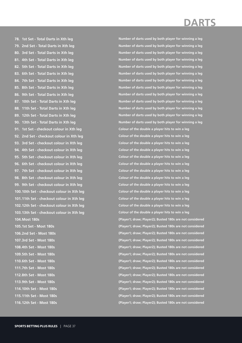**78. 1st Set - Total Darts in Xth leg 79. 2nd Set - Total Darts in Xth leg 80. 3rd Set - Total Darts in Xth leg 81. 4th Set - Total Darts in Xth leg 82. 5th Set - Total Darts in Xth leg 83. 6th Set - Total Darts in Xth leg 84. 7th Set - Total Darts in Xth leg 85. 8th Set - Total Darts in Xth leg 86. 9th Set - Total Darts in Xth leg 87. 10th Set - Total Darts in Xth leg 88. 11th Set - Total Darts in Xth leg 89. 12th Set - Total Darts in Xth leg 90. 13th Set - Total Darts in Xth leg 91. 1st Set - checkout colour in Xth leg 92. 2nd Set - checkout colour in Xth leg 93. 3rd Set - checkout colour in Xth leg 94. 4th Set - checkout colour in Xth leg 95. 5th Set - checkout colour in Xth leg 96. 6th Set - checkout colour in Xth leg 97. 7th Set - checkout colour in Xth leg 98. 8th Set - checkout colour in Xth leg 99. 9th Set - checkout colour in Xth leg 100.10th Set - checkout colour in Xth leg 101.11th Set - checkout colour in Xth leg 102.12th Set - checkout colour in Xth leg 103.13th Set - checkout colour in Xth leg 104.Most 180s 105.1st Set - Most 180s 106.2nd Set - Most 180s 107.3rd Set - Most 180s**

**108.4th Set - Most 180s 109.5th Set - Most 180s 110.6th Set - Most 180s 111.7th Set - Most 180s 112.8th Set - Most 180s 113.9th Set - Most 180s 114.10th Set - Most 180s 115.11th Set - Most 180s 116.12th Set - Most 180s** **Number of darts used by both player for winning a leg Number of darts used by both player for winning a leg Number of darts used by both player for winning a leg Number of darts used by both player for winning a leg Number of darts used by both player for winning a leg Number of darts used by both player for winning a leg Number of darts used by both player for winning a leg Number of darts used by both player for winning a leg Number of darts used by both player for winning a leg Number of darts used by both player for winning a leg Number of darts used by both player for winning a leg Number of darts used by both player for winning a leg Number of darts used by both player for winning a leg Colour of the double a player hits to win a leg Colour of the double a player hits to win a leg Colour of the double a player hits to win a leg Colour of the double a player hits to win a leg Colour of the double a player hits to win a leg Colour of the double a player hits to win a leg Colour of the double a player hits to win a leg Colour of the double a player hits to win a leg Colour of the double a player hits to win a leg Colour of the double a player hits to win a leg Colour of the double a player hits to win a leg Colour of the double a player hits to win a leg Colour of the double a player hits to win a leg (Player1; draw; Player2); Busted 180s are not considered (Player1; draw; Player2); Busted 180s are not considered (Player1; draw; Player2); Busted 180s are not considered (Player1; draw; Player2); Busted 180s are not considered (Player1; draw; Player2); Busted 180s are not considered (Player1; draw; Player2); Busted 180s are not considered (Player1; draw; Player2); Busted 180s are not considered (Player1; draw; Player2); Busted 180s are not considered (Player1; draw; Player2); Busted 180s are not considered (Player1; draw; Player2); Busted 180s are not considered (Player1; draw; Player2); Busted 180s are not considered (Player1; draw; Player2); Busted 180s are not considered (Player1; draw; Player2); Busted 180s are not considered**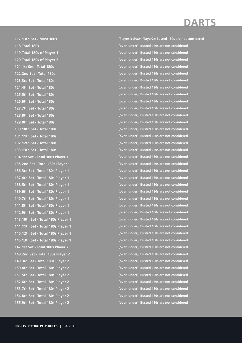**117.13th Set - Most 180s 118.Total 180s 119.Total 180s of Player 1 120.Total 180s of Player 2 121.1st Set - Total 180s 122.2nd Set - Total 180s 123.3rd Set - Total 180s 124.4th Set - Total 180s 125.5th Set - Total 180s 126.6th Set - Total 180s 127.7th Set - Total 180s 128.8th Set - Total 180s 129.9th Set - Total 180s 130.10th Set - Total 180s 131.11th Set - Total 180s 132.12th Set - Total 180s 133.13th Set - Total 180s 134.1st Set - Total 180s Player 1 135.2nd Set - Total 180s Player 1 136.3rd Set - Total 180s Player 1 137.4th Set - Total 180s Player 1 138.5th Set - Total 180s Player 1 139.6th Set - Total 180s Player 1 140.7th Set - Total 180s Player 1 141.8th Set - Total 180s Player 1 142.9th Set - Total 180s Player 1 143.10th Set - Total 180s Player 1 144.11th Set - Total 180s Player 1 145.12th Set - Total 180s Player 1 146.13th Set - Total 180s Player 1 147.1st Set - Total 180s Player 2 148.2nd Set - Total 180s Player 2 149.3rd Set - Total 180s Player 2 150.4th Set - Total 180s Player 2 151.5th Set - Total 180s Player 2 152.6th Set - Total 180s Player 2 153.7th Set - Total 180s Player 2 154.8th Set - Total 180s Player 2 155.9th Set - Total 180s Player 2**

**(Player1; draw; Player2); Busted 180s are not considered (over; under); Busted 180s are not considered (over; under); Busted 180s are not considered (over; under); Busted 180s are not considered (over; under); Busted 180s are not considered (over; under); Busted 180s are not considered (over; under); Busted 180s are not considered (over; under); Busted 180s are not considered (over; under); Busted 180s are not considered (over; under); Busted 180s are not considered (over; under); Busted 180s are not considered (over; under); Busted 180s are not considered (over; under); Busted 180s are not considered (over; under); Busted 180s are not considered (over; under); Busted 180s are not considered (over; under); Busted 180s are not considered (over; under); Busted 180s are not considered (over; under); Busted 180s are not considered (over; under); Busted 180s are not considered (over; under); Busted 180s are not considered (over; under); Busted 180s are not considered (over; under); Busted 180s are not considered (over; under); Busted 180s are not considered (over; under); Busted 180s are not considered (over; under); Busted 180s are not considered (over; under); Busted 180s are not considered (over; under); Busted 180s are not considered (over; under); Busted 180s are not considered (over; under); Busted 180s are not considered (over; under); Busted 180s are not considered (over; under); Busted 180s are not considered (over; under); Busted 180s are not considered (over; under); Busted 180s are not considered (over; under); Busted 180s are not considered (over; under); Busted 180s are not considered (over; under); Busted 180s are not considered (over; under); Busted 180s are not considered (over; under); Busted 180s are not considered (over; under); Busted 180s are not considered**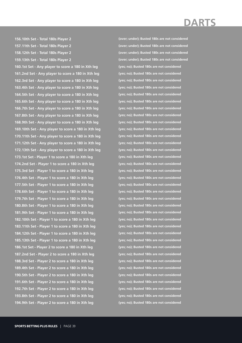**156.10th Set - Total 180s Player 2 157.11th Set - Total 180s Player 2 158.12th Set - Total 180s Player 2 159.13th Set - Total 180s Player 2**

**160.1st Set - Any player to score a 180 in Xth leg 161.2nd Set - Any player to score a 180 in Xth leg 162.3rd Set - Any player to score a 180 in Xth leg 163.4th Set - Any player to score a 180 in Xth leg 164.5th Set - Any player to score a 180 in Xth leg 165.6th Set - Any player to score a 180 in Xth leg 166.7th Set - Any player to score a 180 in Xth leg 167.8th Set - Any player to score a 180 in Xth leg 168.9th Set - Any player to score a 180 in Xth leg 169.10th Set - Any player to score a 180 in Xth leg 170.11th Set - Any player to score a 180 in Xth leg 171.12th Set - Any player to score a 180 in Xth leg 172.13th Set - Any player to score a 180 in Xth leg 173.1st Set - Player 1 to score a 180 in Xth leg 174.2nd Set - Player 1 to score a 180 in Xth leg 175.3rd Set - Player 1 to score a 180 in Xth leg 176.4th Set - Player 1 to score a 180 in Xth leg 177.5th Set - Player 1 to score a 180 in Xth leg 178.6th Set - Player 1 to score a 180 in Xth leg 179.7th Set - Player 1 to score a 180 in Xth leg 180.8th Set - Player 1 to score a 180 in Xth leg 181.9th Set - Player 1 to score a 180 in Xth leg 182.10th Set - Player 1 to score a 180 in Xth leg 183.11th Set - Player 1 to score a 180 in Xth leg 184.12th Set - Player 1 to score a 180 in Xth leg 185.13th Set - Player 1 to score a 180 in Xth leg 186.1st Set - Player 2 to score a 180 in Xth leg 187.2nd Set - Player 2 to score a 180 in Xth leg 188.3rd Set - Player 2 to score a 180 in Xth leg 189.4th Set - Player 2 to score a 180 in Xth leg 190.5th Set - Player 2 to score a 180 in Xth leg 191.6th Set - Player 2 to score a 180 in Xth leg 192.7th Set - Player 2 to score a 180 in Xth leg 193.8th Set - Player 2 to score a 180 in Xth leg 194.9th Set - Player 2 to score a 180 in Xth leg**

**(over; under); Busted 180s are not considered (over; under); Busted 180s are not considered (over; under); Busted 180s are not considered (over; under); Busted 180s are not considered (yes; no); Busted 180s are not considered (yes; no); Busted 180s are not considered (yes; no); Busted 180s are not considered (yes; no); Busted 180s are not considered (yes; no); Busted 180s are not considered (yes; no); Busted 180s are not considered (yes; no); Busted 180s are not considered (yes; no); Busted 180s are not considered (yes; no); Busted 180s are not considered (yes; no); Busted 180s are not considered (yes; no); Busted 180s are not considered (yes; no); Busted 180s are not considered (yes; no); Busted 180s are not considered (yes; no); Busted 180s are not considered (yes; no); Busted 180s are not considered (yes; no); Busted 180s are not considered (yes; no); Busted 180s are not considered (yes; no); Busted 180s are not considered (yes; no); Busted 180s are not considered (yes; no); Busted 180s are not considered (yes; no); Busted 180s are not considered (yes; no); Busted 180s are not considered (yes; no); Busted 180s are not considered (yes; no); Busted 180s are not considered (yes; no); Busted 180s are not considered (yes; no); Busted 180s are not considered (yes; no); Busted 180s are not considered (yes; no); Busted 180s are not considered (yes; no); Busted 180s are not considered (yes; no); Busted 180s are not considered (yes; no); Busted 180s are not considered (yes; no); Busted 180s are not considered (yes; no); Busted 180s are not considered (yes; no); Busted 180s are not considered (yes; no); Busted 180s are not considered**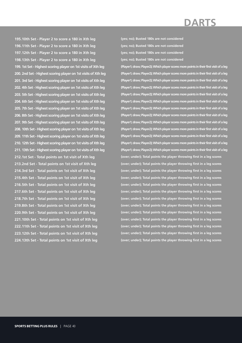**195.10th Set - Player 2 to score a 180 in Xth leg 196.11th Set - Player 2 to score a 180 in Xth leg 197.12th Set - Player 2 to score a 180 in Xth leg 198.13th Set - Player 2 to score a 180 in Xth leg 199. 1st Set - Highest scoring player on 1st visits of Xth leg 200. 2nd Set - Highest scoring player on 1st visits of Xth leg 201. 3rd Set - Highest scoring player on 1st visits of Xth leg 202. 4th Set - Highest scoring player on 1st visits of Xth leg 203. 5th Set - Highest scoring player on 1st visits of Xth leg 204. 6th Set - Highest scoring player on 1st visits of Xth leg 205. 7th Set - Highest scoring player on 1st visits of Xth leg 206. 8th Set - Highest scoring player on 1st visits of Xth leg 207. 9th Set - Highest scoring player on 1st visits of Xth leg 208. 10th Set - Highest scoring player on 1st visits of Xth leg 209. 11th Set - Highest scoring player on 1st visits of Xth leg 210. 12th Set - Highest scoring player on 1st visits of Xth leg 211. 13th Set - Highest scoring player on 1st visits of Xth leg 212.1st Set - Total points on 1st visit of Xth leg 213.2nd Set - Total points on 1st visit of Xth leg 214.3rd Set - Total points on 1st visit of Xth leg 215.4th Set - Total points on 1st visit of Xth leg**

**216.5th Set - Total points on 1st visit of Xth leg 217.6th Set - Total points on 1st visit of Xth leg 218.7th Set - Total points on 1st visit of Xth leg 219.8th Set - Total points on 1st visit of Xth leg 220.9th Set - Total points on 1st visit of Xth leg 221.10th Set - Total points on 1st visit of Xth leg 222.11th Set - Total points on 1st visit of Xth leg 223.12th Set - Total points on 1st visit of Xth leg 224.13th Set - Total points on 1st visit of Xth leg** **(yes; no); Busted 180s are not considered (yes; no); Busted 180s are not considered (yes; no); Busted 180s are not considered (yes; no); Busted 180s are not considered**

**(Player1; draw; Player2); Which player scores more points in their first visit of a leg (Player1; draw; Player2); Which player scores more points in their first visit of a leg (Player1; draw; Player2); Which player scores more points in their first visit of a leg (Player1; draw; Player2); Which player scores more points in their first visit of a leg (Player1; draw; Player2); Which player scores more points in their first visit of a leg (Player1; draw; Player2); Which player scores more points in their first visit of a leg (Player1; draw; Player2); Which player scores more points in their first visit of a leg (Player1; draw; Player2); Which player scores more points in their first visit of a leg (Player1; draw; Player2); Which player scores more points in their first visit of a leg (Player1; draw; Player2); Which player scores more points in their first visit of a leg (Player1; draw; Player2); Which player scores more points in their first visit of a leg (Player1; draw; Player2); Which player scores more points in their first visit of a leg (Player1; draw; Player2); Which player scores more points in their first visit of a leg (over; under); Total points the player throwing first in a leg scores (over; under); Total points the player throwing first in a leg scores (over; under); Total points the player throwing first in a leg scores (over; under); Total points the player throwing first in a leg scores (over; under); Total points the player throwing first in a leg scores (over; under); Total points the player throwing first in a leg scores (over; under); Total points the player throwing first in a leg scores (over; under); Total points the player throwing first in a leg scores (over; under); Total points the player throwing first in a leg scores (over; under); Total points the player throwing first in a leg scores (over; under); Total points the player throwing first in a leg scores (over; under); Total points the player throwing first in a leg scores (over; under); Total points the player throwing first in a leg scores**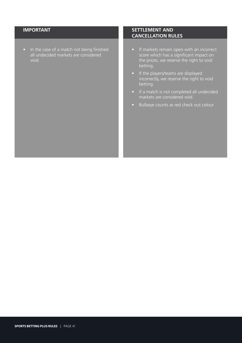• In the case of a match not being finished all undecided markets are considered void.

- If markets remain open with an incorrect score which has a significant impact on the prices, we reserve the right to void betting.
- If the players/teams are displayed incorrectly, we reserve the right to void betting.
- If a match is not completed all undecided markets are considered void.
- Bullseye counts as red check out colour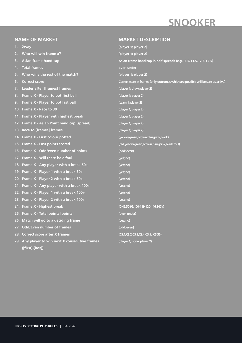## **SNOOKER**

#### **NAME OF MARKET**

- **1. 2way**
- **2. Who will win frame x?**
- **3. Asian frame handicap**
- **4. Total frames**
- **5. Who wins the rest of the match?**
- **6. Correct score**
- **7. Leader after [frames] frames**
- **8. Frame X Player to pot first ball**
- **9. Frame X Player to pot last ball**
- **10. Frame X Race to 30**
- **11. Frame X Player with highest break**
- **12. Frame X Asian Point handicap [spread]**
- **13. Race to [frames] frames**
- **14. Frame X First colour potted**
- **15. Frame X Last points scored**
- **16. Frame X Odd/even number of points**
- **17. Frame X Will there be a foul**
- **18. Frame X Any player with a break 50+**
- **19. Frame X Player 1 with a break 50+**
- **20. Frame X Player 2 with a break 50+**
- **21. Frame X Any player with a break 100+**
- **22. Frame X Player 1 with a break 100+**
- **23. Frame X Player 2 with a break 100+**
- **24. Frame X Highest break**
- **25. Frame X Total points [points]**
- **26. Match will go to a deciding frame**
- **27. Odd/Even number of frames**
- **28. Correct score after X frames**
- **29. Any player to win next X consecutive frames ([first]-[last])**

#### **MARKET DESCRIPTION**

**(player 1; player 2) (player 1; player 2) Asian frame handicap in half spreads (e.g. -1.5/+1.5, -2.5/+2.5) over; under (player 1; player 2) Correct score in frames (only outcomes which are possible will be sent as active) (player 1; draw; player 2) (player 1; player 2) (team 1; player 2) (player 1; player 2) (player 1; player 2) (player 1; player 2) (player 1; player 2) (yellow,green,brown,blue,pink,black) (red,yellow,green,brown,blue,pink,black,foul) (odd; even) (yes; no) (yes; no) (yes; no) (yes; no) (yes; no) (yes; no) (yes; no) (0-49,50-99,100-119,120-146,147+) (over; under) (yes; no) (odd; even) (CS:1,CS:2,CS:3,CS:4,CS:5,..CS:36) (player 1; none; player 2)**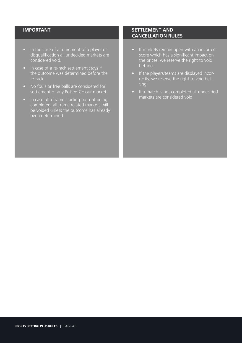- In the case of a retirement of a player or disqualification all undecided markets are considered void.
- In case of a re-rack settlement stays if the outcome was determined before the re-rack
- No fouls or free balls are considered for settlement of any Potted-Colour market
- In case of a frame starting but not being completed, all frame related markets will be voided unless the outcome has already been determined

- If markets remain open with an incorrect score which has a significant impact on the prices, we reserve the right to void betting.
- If the players/teams are displayed incorrectly, we reserve the right to void betting.
- If a match is not completed all undecided markets are considered void.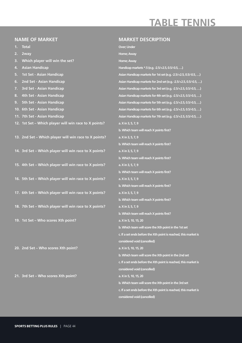## **TABLE TENNIS**

#### **NAME OF MARKET**

- **1. Total**
- **2. 2way**
- **3. Which player will win the set?**
- **4. Asian Handicap**
- **5. 1st Set Asian Handicap**
- **6. 2nd Set Asian Handicap**
- **7. 3rd Set Asian Handicap**
- **8. 4th Set Asian Handicap**
- **9. 5th Set Asian Handicap**
- **10. 6th Set Asian Handicap**
- **11. 7th Set Asian Handicap**
- **12. 1st Set Which player will win race to X points?**

**13. 2nd Set – Which player will win race to X points?**

- **14. 3rd Set Which player will win race to X points?**
- **15. 4th Set Which player will win race to X points?**
- **16. 5th Set Which player will win race to X points?**
- **17. 6th Set Which player will win race to X points?**
- **18. 7th Set Which player will win race to X points?**
- **19. 1st Set Who scores Xth point?**

**20. 2nd Set – Who scores Xth point?**

**21. 3rd Set – Who scores Xth point?**

#### **MARKET DESCRIPTION**

**Over; Under Home; Away Home; Away Handicap markets \*.5 (e.g. -2.5/+2.5, 0.5/-0.5, …) Asian Handicap markets for 1st set (e.g. -2.5/+2.5, 0.5/-0.5, …) Asian Handicap markets for 2nd set (e.g. -2.5/+2.5, 0.5/-0.5, …) Asian Handicap markets for 3rd set (e.g. -2.5/+2.5, 0.5/-0.5, …) Asian Handicap markets for 4th set (e.g. -2.5/+2.5, 0.5/-0.5, …) Asian Handicap markets for 5th set (e.g. -2.5/+2.5, 0.5/-0.5, …) Asian Handicap markets for 6th set (e.g. -2.5/+2.5, 0.5/-0.5, …) Asian Handicap markets for 7th set (e.g. -2.5/+2.5, 0.5/-0.5, …) a. X in 3, 5, 7, 9 b. Which team will reach X points first? a. X in 3, 5, 7, 9 b. Which team will reach X points first? a. X in 3, 5, 7, 9 b. Which team will reach X points first? a. X in 3, 5, 7, 9 b. Which team will reach X points first? a. X in 3, 5, 7, 9 b. Which team will reach X points first? a. X in 3, 5, 7, 9 b. Which team will reach X points first? a. X in 3, 5, 7, 9 b. Which team will reach X points first? a. X in 5, 10, 15, 20 b. Which team will score the Xth point in the 1st set c. If a set ends before the Xth point is reached, this market is considered void (cancelled) a. X in 5, 10, 15, 20 b. Which team will score the Xth point in the 2nd set c. If a set ends before the Xth point is reached, this market is considered void (cancelled) a. X in 5, 10, 15, 20 b. Which team will score the Xth point in the 3rd set c. If a set ends before the Xth point is reached, this market is considered void (cancelled)**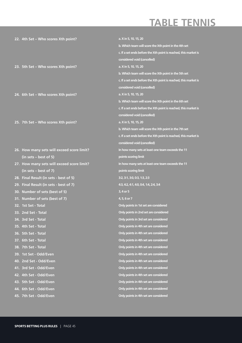## **TABLE TENNIS**

| 22. 4th Set - Who scores Xth point?        | a. X in 5, 10, 15, 20                                            |
|--------------------------------------------|------------------------------------------------------------------|
|                                            | b. Which team will score the Xth point in the 4th set            |
|                                            | c. If a set ends before the Xth point is reached, this market is |
|                                            | considered void (cancelled)                                      |
| 23. 5th Set - Who scores Xth point?        | a. X in 5, 10, 15, 20                                            |
|                                            | b. Which team will score the Xth point in the 5th set            |
|                                            | c. If a set ends before the Xth point is reached, this market is |
|                                            | considered void (cancelled)                                      |
| 24. 6th Set - Who scores Xth point?        | a. X in 5, 10, 15, 20                                            |
|                                            | b. Which team will score the Xth point in the 6th set            |
|                                            | c. If a set ends before the Xth point is reached, this market is |
|                                            | considered void (cancelled)                                      |
| 25. 7th Set - Who scores Xth point?        | a. X in 5, 10, 15, 20                                            |
|                                            | b. Which team will score the Xth point in the 7th set            |
|                                            | c. If a set ends before the Xth point is reached, this market is |
|                                            | considered void (cancelled)                                      |
| 26. How many sets will exceed score limit? | In how many sets at least one team exceeds the 11                |
| $(in sets - best of 5)$                    | points scoring limit                                             |
| 27. How many sets will exceed score limit? | In how many sets at least one team exceeds the 11                |
|                                            |                                                                  |
| $(in sets - best of 7)$                    | points scoring limit                                             |
| 28. Final Result (in sets - best of 5)     | 3:2, 3:1, 3:0, 0:3, 1:3, 2:3                                     |
| 29. Final Result (in sets - best of 7)     | 4:3, 4:2, 4:1, 4:0, 0:4, 1:4, 2:4, 3:4                           |
| 30. Number of sets (best of 5)             | 3, 4 or 5                                                        |
| 31. Number of sets (best of 7)             | 4, 5, 6 or 7                                                     |
| 32. 1st Set - Total                        | Only points in 1st set are considered                            |
| 33. 2nd Set - Total                        | Only points in 2nd set are considered                            |
| 34. 3rd Set - Total                        | Only points in 3rd set are considered                            |
| 4th Set - Total<br>35.                     | Only points in 4th set are considered                            |
| 5th Set - Total<br>36.                     | Only points in 4th set are considered                            |
| 6th Set - Total<br>37.                     | Only points in 4th set are considered                            |
| 38. 7th Set - Total                        | Only points in 4th set are considered                            |
| 39. 1st Set - Odd/Even                     | Only points in 4th set are considered                            |
| 2nd Set - Odd/Even<br>40.                  | Only points in 4th set are considered                            |
| 3rd Set - Odd/Even<br>41.                  | Only points in 4th set are considered                            |
| 4th Set - Odd/Even<br>42.                  | Only points in 4th set are considered                            |
| 5th Set - Odd/Even<br>43.                  | Only points in 4th set are considered                            |
| 6th Set - Odd/Even<br>44.                  | Only points in 4th set are considered                            |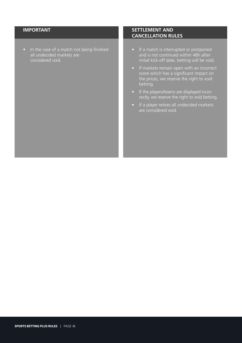• In the case of a match not being finished all undecided markets are considered void.

- If a match is interrupted or postponed and is not continued within 48h after initial kick-off date, betting will be void.
- If markets remain open with an incorrect score which has a significant impact on the prices, we reserve the right to void betting.
- If the players/teams are displayed incorrectly, we reserve the right to void betting.
- If a player retires all undecided markets are considered void.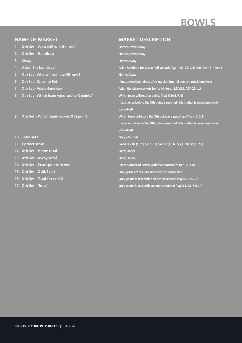# **BOWLS**

#### **NAME OF MARKET 1. Xth Set - Who will win the set? 2. Xth Set - Handicap 3. 2way 4. Asian Set handicap 5. Xth Set - Who will win the Xth end? 6. Xth Set - Draw no Bet 7. Xth Set - Asian Handicap 8. Xth Set - Which team wins race to X points? 9. Xth Set - Which team scores Xth point 10. Total sets 11. Correct score 12. Xth Set - Home total 13. Xth Set - Away total 14. Xth Set - Exact points in end 15. Xth Set - Odd/Even 16. Xth Set - Total for end X 17. Xth Set – Total MARKET DESCRIPTION Home; Draw; Away Home; Draw; Away Home; Away Asian handicap for sets in half spreads (e.g. -1.5/+1.5, 2.5/-2.5); Team1 - Team2 Home; Away If match ends in a draw after regular time, all bets are considered void Asian Handicap markets for [setNr] (e.g. -2.5/+2.5, 0.5/-0.5, …) Which team will reach x points first? (x in 5, 7, 9) If a set ends before the Xth point is reached, this market is considered void (cancelled) Which team will score the Xth point in a specific set? (x in 5, 7, 9) If a set ends before the Xth point is reached, this market is considered void (cancelled) Only x.5 totals Fixed results (CS:1,CS:2,CS:3,CS:4,CS:5,CS:6,CS:7,CS:8,CS:9,CS:10) Over; Under Over; Under Exact number of points with fixed outcomes (0, 1, 2, 3, 4) Only games of set n (current set) are considered Only points in a specific end are considered (e.g. 0.5, 1.5, …) Only points in a specific set are considered (e.g. 3.5, 4.5, 5.5, …)**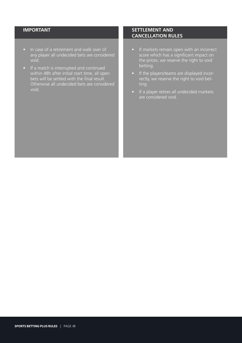- In case of a retirement and walk over of any player all undecided bets are considered void.
- If a match is interrupted and continued within 48h after initial start time, all open bets will be settled with the final result. Otherwise all undecided bets are considered void.

- If markets remain open with an incorrect score which has a significant impact on the prices, we reserve the right to void betting.
- If the players/teams are displayed incorrectly, we reserve the right to void betting.
- If a player retires all undecided markets are considered void.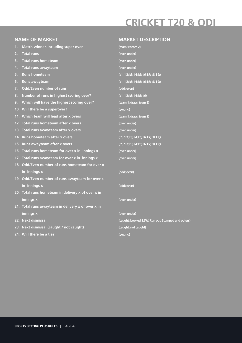## **CRICKET T20 & ODI**

| <b>NAME OF MARKET</b> |                                                    | <b>MARKET DESCRIPTION</b>                          |
|-----------------------|----------------------------------------------------|----------------------------------------------------|
| 1.                    | Match winner, including super over                 | (team 1; team 2)                                   |
| 2.                    | <b>Total runs</b>                                  | (over; under)                                      |
| 3.                    | <b>Total runs hometeam</b>                         | (over; under)                                      |
| 4.                    | Total runs awayteam                                | (over; under)                                      |
| 5.                    | <b>Runs hometeam</b>                               | (l:1; 1:2; l:3; l:4; l:5; l:6; l:7; l:8; l:9;)     |
| 6.                    | <b>Runs awayteam</b>                               | (l:1; 1:2; l:3; l:4; l:5; l:6; l:7; l:8; l:9;)     |
| 7.                    | Odd/Even number of runs                            | (odd; even)                                        |
| 8.                    | Number of runs in highest scoring over?            | (l:1; 1:2; 1:3; 1:4; 1:5; 1:6)                     |
|                       | 9. Which will have the highest scoring over?       | (team 1; draw; team 2)                             |
|                       | 10. Will there be a superover?                     | (yes; no)                                          |
|                       | 11. Which team will lead after x overs             | (team 1; draw; team 2)                             |
|                       | 12. Total runs hometeam after x overs              | (over; under)                                      |
|                       | 13. Total runs awayteam after x overs              | (over; under)                                      |
|                       | 14. Runs hometeam after x overs                    | (l:1; 1:2; l:3; l:4; l:5; l:6; l:7; l:8; l:9;)     |
|                       | 15. Runs awayteam after x overs                    | (l:1; 1:2; l:3; l:4; l:5; l:6; l:7; l:8; l:9;)     |
|                       | 16. Total runs hometeam for over x in innings x    | (over; under)                                      |
|                       | 17. Total runs awayteam for over x in innings x    | (over; under)                                      |
|                       | 18. Odd/Even number of runs hometeam for over x    |                                                    |
|                       | in innings x                                       | (odd; even)                                        |
|                       | 19. Odd/Even number of runs awayteam for over x    |                                                    |
|                       | in innings x                                       | (odd; even)                                        |
|                       | 20. Total runs hometeam in delivery x of over x in |                                                    |
|                       | innings x                                          | (over; under)                                      |
|                       | 21. Total runs awayteam in delivery x of over x in |                                                    |
|                       | innings x                                          | (over; under)                                      |
|                       | 22. Next dismissal                                 | (caught; bowled; LBW; Run out; Stumped and others) |
|                       | 23. Next dismissal (caught / not caught)           | (caught; not caught)                               |

**(yes; no)**

**24. Will there be a tie?**